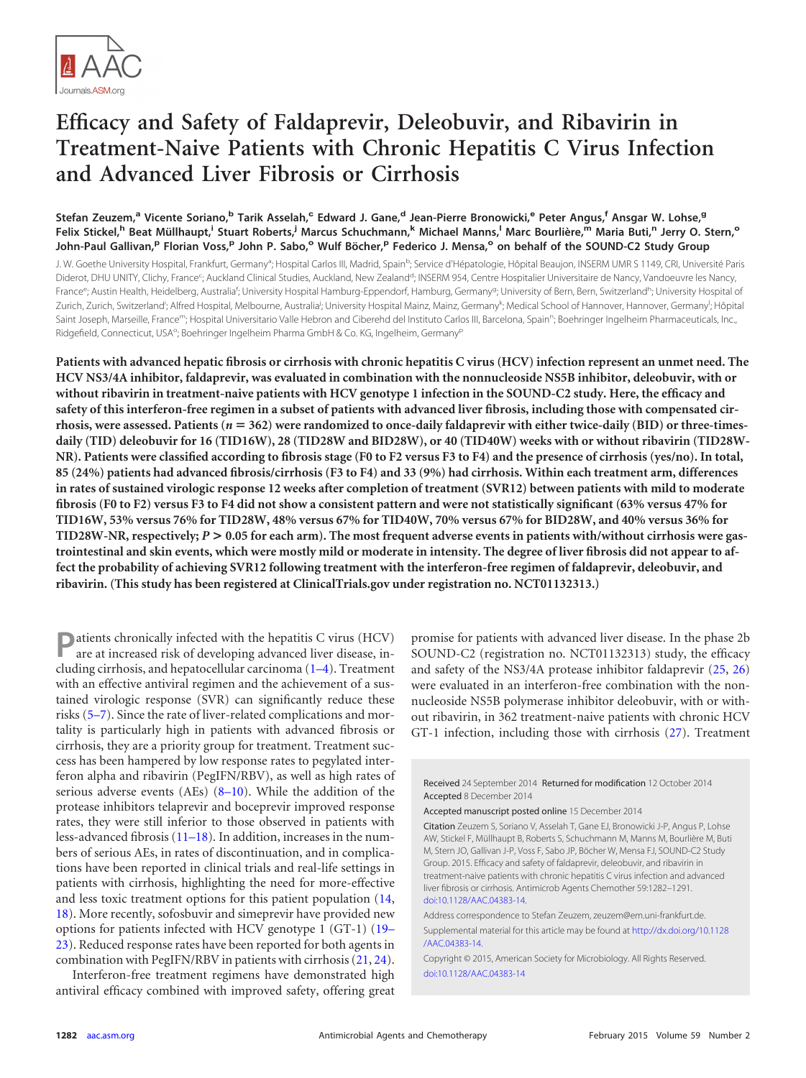

# **Efficacy and Safety of Faldaprevir, Deleobuvir, and Ribavirin in Treatment-Naive Patients with Chronic Hepatitis C Virus Infection and Advanced Liver Fibrosis or Cirrhosis**

**Stefan Zeuzem,<sup>a</sup> Vicente Soriano,<sup>b</sup> Tarik Asselah,<sup>c</sup> Edward J. Gane,<sup>d</sup> Jean-Pierre Bronowicki,<sup>e</sup> Peter Angus,<sup>f</sup> Ansgar W. Lohse,<sup>g</sup>** Felix Stickel,<sup>h</sup> Beat Müllhaupt,<sup>i</sup> Stuart Roberts,<sup>j</sup> Marcus Schuchmann,<sup>k</sup> Michael Manns,<sup>l</sup> Marc Bourlière,<sup>m</sup> Maria Buti,<sup>n</sup> Jerry O. Stern,<sup>o</sup> **John-Paul Gallivan,<sup>p</sup> Florian Voss,<sup>p</sup> John P. Sabo,<sup>o</sup> Wulf Böcher,<sup>p</sup> Federico J. Mensa,<sup>o</sup> on behalf of the SOUND-C2 Study Group**

J. W. Goethe University Hospital, Frankfurt, Germany<sup>a</sup>; Hospital Carlos III, Madrid, Spain<sup>b</sup>; Service d'Hépatologie, Hôpital Beaujon, INSERM UMR S 1149, CRI, Université Paris Diderot, DHU UNITY, Clichy, France<sup>c</sup>; Auckland Clinical Studies, Auckland, New Zealand<sup>d</sup>; INSERM 954, Centre Hospitalier Universitaire de Nancy, Vandoeuvre les Nancy, France<sup>e</sup>; Austin Health, Heidelberg, Australia<sup>f</sup>; University Hospital Hamburg-Eppendorf, Hamburg, Germany<sup>a</sup>; University of Bern, Bern, Switzerland<sup>h</sup>; University Hospital of Zurich, Zurich, Switzerland<sup>i</sup>; Alfred Hospital, Melbourne, Australia<sup>i</sup>; University Hospital Mainz, Mainz, Germany<sup>k</sup>; Medical School of Hannover, Hannover, Germany<sup>l</sup>; Hôpital Saint Joseph, Marseille, France<sup>m</sup>; Hospital Universitario Valle Hebron and Ciberehd del Instituto Carlos III, Barcelona, Spain<sup>n</sup>; Boehringer Ingelheim Pharmaceuticals, Inc., Ridgefield, Connecticut, USA°; Boehringer Ingelheim Pharma GmbH & Co. KG, Ingelheim, Germany<sup>p</sup>

**Patients with advanced hepatic fibrosis or cirrhosis with chronic hepatitis C virus (HCV) infection represent an unmet need. The HCV NS3/4A inhibitor, faldaprevir, was evaluated in combination with the nonnucleoside NS5B inhibitor, deleobuvir, with or without ribavirin in treatment-naive patients with HCV genotype 1 infection in the SOUND-C2 study. Here, the efficacy and safety of this interferon-free regimen in a subset of patients with advanced liver fibrosis, including those with compensated cirrhosis, were assessed. Patients (***n* - **362) were randomized to once-daily faldaprevir with either twice-daily (BID) or three-timesdaily (TID) deleobuvir for 16 (TID16W), 28 (TID28W and BID28W), or 40 (TID40W) weeks with or without ribavirin (TID28W-NR). Patients were classified according to fibrosis stage (F0 to F2 versus F3 to F4) and the presence of cirrhosis (yes/no). In total, 85 (24%) patients had advanced fibrosis/cirrhosis (F3 to F4) and 33 (9%) had cirrhosis. Within each treatment arm, differences in rates of sustained virologic response 12 weeks after completion of treatment (SVR12) between patients with mild to moderate fibrosis (F0 to F2) versus F3 to F4 did not show a consistent pattern and were not statistically significant (63% versus 47% for TID16W, 53% versus 76% for TID28W, 48% versus 67% for TID40W, 70% versus 67% for BID28W, and 40% versus 36% for TID28W-NR, respectively;** *P* **> 0.05 for each arm). The most frequent adverse events in patients with/without cirrhosis were gastrointestinal and skin events, which were mostly mild or moderate in intensity. The degree of liver fibrosis did not appear to affect the probability of achieving SVR12 following treatment with the interferon-free regimen of faldaprevir, deleobuvir, and ribavirin. (This study has been registered at ClinicalTrials.gov under registration no. NCT01132313.)**

**P**atients chronically infected with the hepatitis C virus (HCV) are at increased risk of developing advanced liver disease, including cirrhosis, and hepatocellular carcinoma [\(1](#page-8-0)[–](#page-8-1)[4\)](#page-8-2). Treatment with an effective antiviral regimen and the achievement of a sustained virologic response (SVR) can significantly reduce these risks [\(5](#page-8-3)[–](#page-8-4)[7\)](#page-8-5). Since the rate of liver-related complications and mortality is particularly high in patients with advanced fibrosis or cirrhosis, they are a priority group for treatment. Treatment success has been hampered by low response rates to pegylated interferon alpha and ribavirin (PegIFN/RBV), as well as high rates of serious adverse events (AEs)  $(8-10)$  $(8-10)$  $(8-10)$ . While the addition of the protease inhibitors telaprevir and boceprevir improved response rates, they were still inferior to those observed in patients with less-advanced fibrosis [\(11](#page-8-9)[–](#page-8-10)[18\)](#page-8-11). In addition, increases in the numbers of serious AEs, in rates of discontinuation, and in complications have been reported in clinical trials and real-life settings in patients with cirrhosis, highlighting the need for more-effective and less toxic treatment options for this patient population [\(14,](#page-8-12) [18\)](#page-8-11). More recently, sofosbuvir and simeprevir have provided new options for patients infected with HCV genotype 1 (GT-1) [\(19](#page-8-13)[–](#page-9-0) [23\)](#page-9-1). Reduced response rates have been reported for both agents in combination with PegIFN/RBV in patients with cirrhosis [\(21,](#page-9-2) [24\)](#page-9-3).

Interferon-free treatment regimens have demonstrated high antiviral efficacy combined with improved safety, offering great promise for patients with advanced liver disease. In the phase 2b SOUND-C2 (registration no. NCT01132313) study, the efficacy and safety of the NS3/4A protease inhibitor faldaprevir [\(25,](#page-9-4) [26\)](#page-9-5) were evaluated in an interferon-free combination with the nonnucleoside NS5B polymerase inhibitor deleobuvir, with or without ribavirin, in 362 treatment-naive patients with chronic HCV GT-1 infection, including those with cirrhosis [\(27\)](#page-9-6). Treatment

Received 24 September 2014 Returned for modification 12 October 2014 Accepted 8 December 2014

Accepted manuscript posted online 15 December 2014

Citation Zeuzem S, Soriano V, Asselah T, Gane EJ, Bronowicki J-P, Angus P, Lohse AW, Stickel F, Müllhaupt B, Roberts S, Schuchmann M, Manns M, Bourlière M, Buti M, Stern JO, Gallivan J-P, Voss F, Sabo JP, Böcher W, Mensa FJ, SOUND-C2 Study Group. 2015. Efficacy and safety of faldaprevir, deleobuvir, and ribavirin in treatment-naive patients with chronic hepatitis C virus infection and advanced liver fibrosis or cirrhosis. Antimicrob Agents Chemother 59:1282–1291. [doi:10.1128/AAC.04383-14.](http://dx.doi.org/10.1128/AAC.04383-14)

Address correspondence to Stefan Zeuzem, zeuzem@em.uni-frankfurt.de. Supplemental material for this article may be found at [http://dx.doi.org/10.1128](http://dx.doi.org/10.1128/AAC.04383-14) [/AAC.04383-14.](http://dx.doi.org/10.1128/AAC.04383-14)

Copyright © 2015, American Society for Microbiology. All Rights Reserved. [doi:10.1128/AAC.04383-14](http://dx.doi.org/10.1128/AAC.04383-14)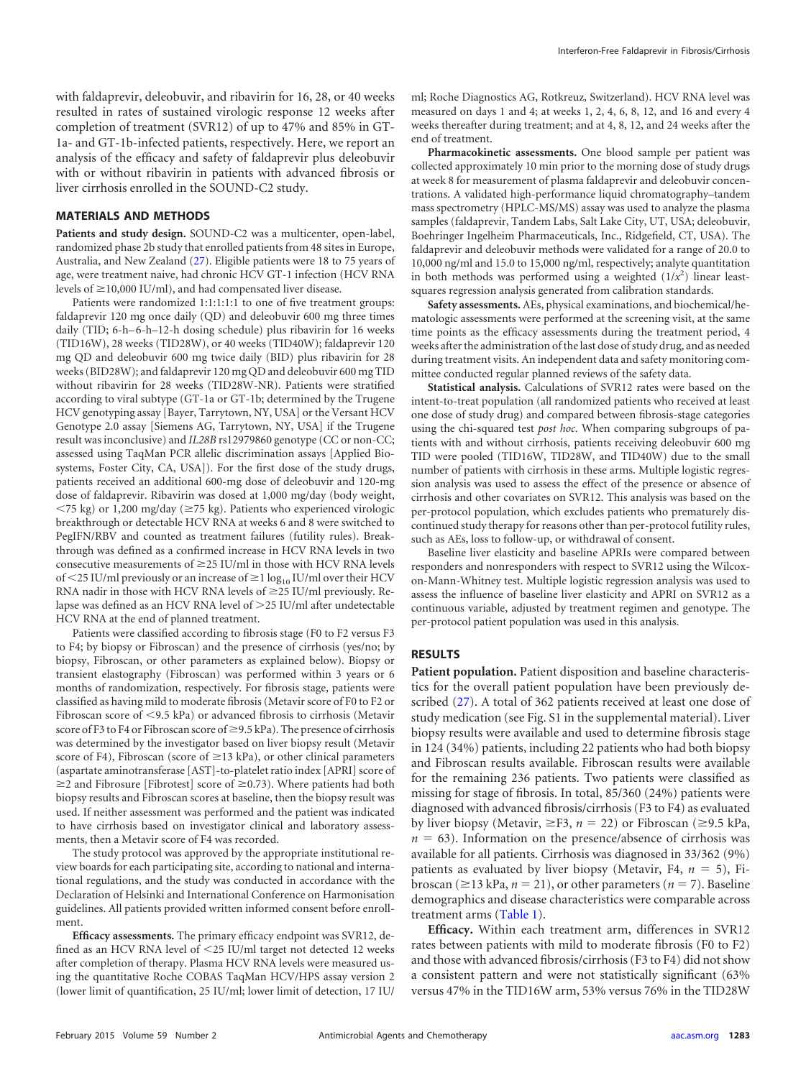with faldaprevir, deleobuvir, and ribavirin for 16, 28, or 40 weeks resulted in rates of sustained virologic response 12 weeks after completion of treatment (SVR12) of up to 47% and 85% in GT-1a- and GT-1b-infected patients, respectively. Here, we report an analysis of the efficacy and safety of faldaprevir plus deleobuvir with or without ribavirin in patients with advanced fibrosis or liver cirrhosis enrolled in the SOUND-C2 study.

#### **MATERIALS AND METHODS**

Patients and study design. SOUND-C2 was a multicenter, open-label, randomized phase 2b study that enrolled patients from 48 sites in Europe, Australia, and New Zealand [\(27\)](#page-9-6). Eligible patients were 18 to 75 years of age, were treatment naive, had chronic HCV GT-1 infection (HCV RNA levels of  $\geq$ 10,000 IU/ml), and had compensated liver disease.

Patients were randomized 1:1:1:1:1 to one of five treatment groups: faldaprevir 120 mg once daily (QD) and deleobuvir 600 mg three times daily (TID; 6-h–6-h–12-h dosing schedule) plus ribavirin for 16 weeks (TID16W), 28 weeks (TID28W), or 40 weeks (TID40W); faldaprevir 120 mg QD and deleobuvir 600 mg twice daily (BID) plus ribavirin for 28 weeks (BID28W); and faldaprevir 120 mg QD and deleobuvir 600 mg TID without ribavirin for 28 weeks (TID28W-NR). Patients were stratified according to viral subtype (GT-1a or GT-1b; determined by the Trugene HCV genotyping assay [Bayer, Tarrytown, NY, USA] or the Versant HCV Genotype 2.0 assay [Siemens AG, Tarrytown, NY, USA] if the Trugene result was inconclusive) and *IL28B* rs12979860 genotype (CC or non-CC; assessed using TaqMan PCR allelic discrimination assays [Applied Biosystems, Foster City, CA, USA]). For the first dose of the study drugs, patients received an additional 600-mg dose of deleobuvir and 120-mg dose of faldaprevir. Ribavirin was dosed at 1,000 mg/day (body weight,  $\langle 75 \text{ kg} \rangle$  or 1,200 mg/day ( $\geq 75$  kg). Patients who experienced virologic breakthrough or detectable HCV RNA at weeks 6 and 8 were switched to PegIFN/RBV and counted as treatment failures (futility rules). Breakthrough was defined as a confirmed increase in HCV RNA levels in two consecutive measurements of  $\geq$ 25 IU/ml in those with HCV RNA levels of  $\leq$  25 IU/ml previously or an increase of  $\geq$  1 log<sub>10</sub> IU/ml over their HCV RNA nadir in those with HCV RNA levels of  $\geq$ 25 IU/ml previously. Relapse was defined as an HCV RNA level of 25 IU/ml after undetectable HCV RNA at the end of planned treatment.

Patients were classified according to fibrosis stage (F0 to F2 versus F3 to F4; by biopsy or Fibroscan) and the presence of cirrhosis (yes/no; by biopsy, Fibroscan, or other parameters as explained below). Biopsy or transient elastography (Fibroscan) was performed within 3 years or 6 months of randomization, respectively. For fibrosis stage, patients were classified as having mild to moderate fibrosis (Metavir score of F0 to F2 or Fibroscan score of <9.5 kPa) or advanced fibrosis to cirrhosis (Metavir score of F3 to F4 or Fibroscan score of ≥9.5 kPa). The presence of cirrhosis was determined by the investigator based on liver biopsy result (Metavir score of F4), Fibroscan (score of  $\geq$ 13 kPa), or other clinical parameters (aspartate aminotransferase [AST]-to-platelet ratio index [APRI] score of  $\geq$  2 and Fibrosure [Fibrotest] score of  $\geq$  0.73). Where patients had both biopsy results and Fibroscan scores at baseline, then the biopsy result was used. If neither assessment was performed and the patient was indicated to have cirrhosis based on investigator clinical and laboratory assessments, then a Metavir score of F4 was recorded.

The study protocol was approved by the appropriate institutional review boards for each participating site, according to national and international regulations, and the study was conducted in accordance with the Declaration of Helsinki and International Conference on Harmonisation guidelines. All patients provided written informed consent before enrollment.

**Efficacy assessments.** The primary efficacy endpoint was SVR12, defined as an HCV RNA level of <25 IU/ml target not detected 12 weeks after completion of therapy. Plasma HCV RNA levels were measured using the quantitative Roche COBAS TaqMan HCV/HPS assay version 2 (lower limit of quantification, 25 IU/ml; lower limit of detection, 17 IU/ ml; Roche Diagnostics AG, Rotkreuz, Switzerland). HCV RNA level was measured on days 1 and 4; at weeks 1, 2, 4, 6, 8, 12, and 16 and every 4 weeks thereafter during treatment; and at 4, 8, 12, and 24 weeks after the end of treatment.

**Pharmacokinetic assessments.** One blood sample per patient was collected approximately 10 min prior to the morning dose of study drugs at week 8 for measurement of plasma faldaprevir and deleobuvir concentrations. A validated high-performance liquid chromatography–tandem mass spectrometry (HPLC-MS/MS) assay was used to analyze the plasma samples (faldaprevir, Tandem Labs, Salt Lake City, UT, USA; deleobuvir, Boehringer Ingelheim Pharmaceuticals, Inc., Ridgefield, CT, USA). The faldaprevir and deleobuvir methods were validated for a range of 20.0 to 10,000 ng/ml and 15.0 to 15,000 ng/ml, respectively; analyte quantitation in both methods was performed using a weighted  $(1/x^2)$  linear leastsquares regression analysis generated from calibration standards.

**Safety assessments.** AEs, physical examinations, and biochemical/hematologic assessments were performed at the screening visit, at the same time points as the efficacy assessments during the treatment period, 4 weeks after the administration of the last dose of study drug, and as needed during treatment visits. An independent data and safety monitoring committee conducted regular planned reviews of the safety data.

**Statistical analysis.** Calculations of SVR12 rates were based on the intent-to-treat population (all randomized patients who received at least one dose of study drug) and compared between fibrosis-stage categories using the chi-squared test *post hoc*. When comparing subgroups of patients with and without cirrhosis, patients receiving deleobuvir 600 mg TID were pooled (TID16W, TID28W, and TID40W) due to the small number of patients with cirrhosis in these arms. Multiple logistic regression analysis was used to assess the effect of the presence or absence of cirrhosis and other covariates on SVR12. This analysis was based on the per-protocol population, which excludes patients who prematurely discontinued study therapy for reasons other than per-protocol futility rules, such as AEs, loss to follow-up, or withdrawal of consent.

Baseline liver elasticity and baseline APRIs were compared between responders and nonresponders with respect to SVR12 using the Wilcoxon-Mann-Whitney test. Multiple logistic regression analysis was used to assess the influence of baseline liver elasticity and APRI on SVR12 as a continuous variable, adjusted by treatment regimen and genotype. The per-protocol patient population was used in this analysis.

#### **RESULTS**

**Patient population.** Patient disposition and baseline characteristics for the overall patient population have been previously described [\(27\)](#page-9-6). A total of 362 patients received at least one dose of study medication (see Fig. S1 in the supplemental material). Liver biopsy results were available and used to determine fibrosis stage in 124 (34%) patients, including 22 patients who had both biopsy and Fibroscan results available. Fibroscan results were available for the remaining 236 patients. Two patients were classified as missing for stage of fibrosis. In total, 85/360 (24%) patients were diagnosed with advanced fibrosis/cirrhosis (F3 to F4) as evaluated by liver biopsy (Metavir,  $\geq$ F3,  $n = 22$ ) or Fibroscan ( $\geq$ 9.5 kPa,  $n = 63$ ). Information on the presence/absence of cirrhosis was available for all patients. Cirrhosis was diagnosed in 33/362 (9%) patients as evaluated by liver biopsy (Metavir, F4,  $n = 5$ ), Fibroscan ( $\geq$ 13 kPa,  $n = 21$ ), or other parameters ( $n = 7$ ). Baseline demographics and disease characteristics were comparable across treatment arms [\(Table 1\)](#page-2-0).

**Efficacy.** Within each treatment arm, differences in SVR12 rates between patients with mild to moderate fibrosis (F0 to F2) and those with advanced fibrosis/cirrhosis (F3 to F4) did not show a consistent pattern and were not statistically significant (63% versus 47% in the TID16W arm, 53% versus 76% in the TID28W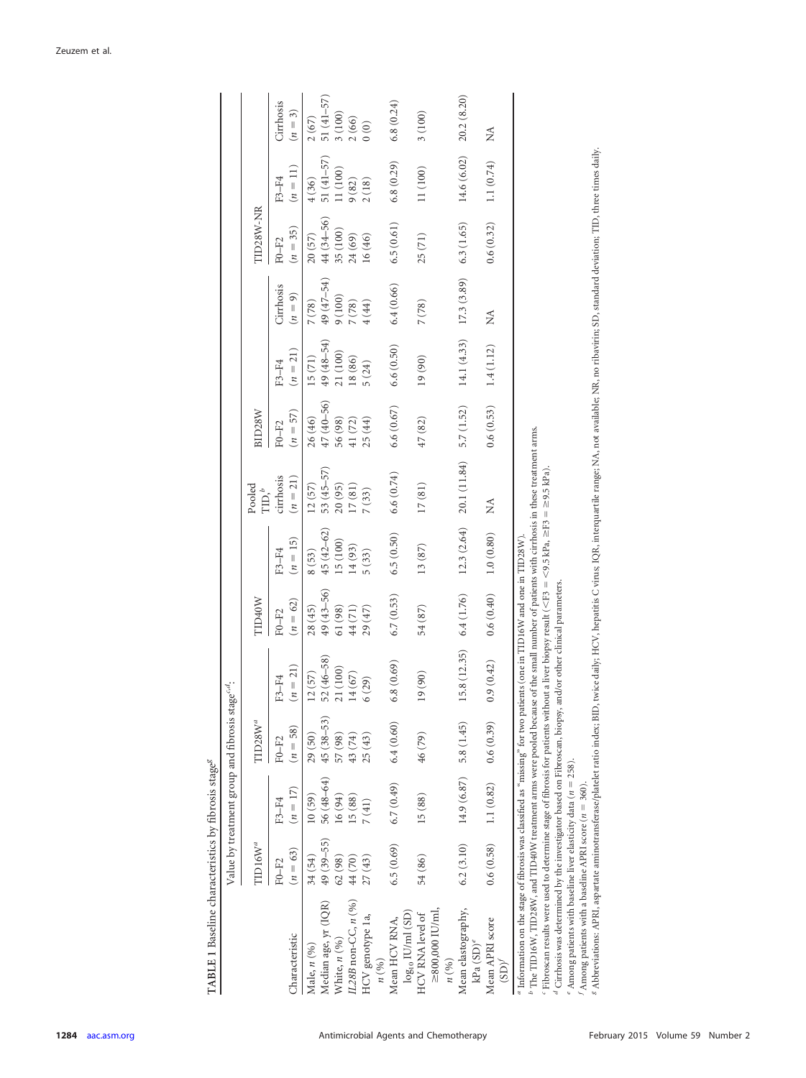|                                                                                                                                                                                                                                                                                                                                                                                                                                                                                                                                                                                                                                                                                                                                                                                                                                                                                                                                                                            |                       | Value by treatment group and fibrosis stage <sup>6,4</sup> : |                          |                                   |                       |                         |                           |                       |                       |                                          |                        |                        |                                        |
|----------------------------------------------------------------------------------------------------------------------------------------------------------------------------------------------------------------------------------------------------------------------------------------------------------------------------------------------------------------------------------------------------------------------------------------------------------------------------------------------------------------------------------------------------------------------------------------------------------------------------------------------------------------------------------------------------------------------------------------------------------------------------------------------------------------------------------------------------------------------------------------------------------------------------------------------------------------------------|-----------------------|--------------------------------------------------------------|--------------------------|-----------------------------------|-----------------------|-------------------------|---------------------------|-----------------------|-----------------------|------------------------------------------|------------------------|------------------------|----------------------------------------|
|                                                                                                                                                                                                                                                                                                                                                                                                                                                                                                                                                                                                                                                                                                                                                                                                                                                                                                                                                                            | ITD16W <sup>a</sup>   |                                                              | IID28W <sup>a</sup>      |                                   | M0P411                |                         | Pooled<br>$\text{IID},^b$ | BID <sub>28</sub> W   |                       |                                          | TID28W-NR              |                        |                                        |
| Characteristic                                                                                                                                                                                                                                                                                                                                                                                                                                                                                                                                                                                                                                                                                                                                                                                                                                                                                                                                                             | $(n = 63)$<br>$F0-F2$ | $(n = 17)$<br>$F3-F4$                                        | $(n = 58)$<br>$F0-F2$    | $(n = 21)$<br>$F3-F4$             | $(n = 62)$<br>$F0-F2$ | $(n = 15)$<br>$F3-F4$   | cirrhosis<br>$(n = 21)$   | $(n = 57)$<br>$F0-F2$ | $(n = 21)$<br>$F3-F4$ | Cirrhosis<br>$(n = 9)$                   | $(n = 35)$<br>$F0-F2$  | $(n = 11)$<br>$F3-F4$  | Cirrhosis<br>$(n = 3)$                 |
| Male, n (%)                                                                                                                                                                                                                                                                                                                                                                                                                                                                                                                                                                                                                                                                                                                                                                                                                                                                                                                                                                | 34 (54)               | 10(59)                                                       | 29 (50)                  | 12(57)                            | 28 (45)               | 8(53)                   | 12(57)                    | 26 (46)               | 15(71)                | 7(78)                                    | 20(57)                 | 4(36)                  | 2(67)                                  |
| Median age, yr (IQR)<br>White, $n\, (96)$                                                                                                                                                                                                                                                                                                                                                                                                                                                                                                                                                                                                                                                                                                                                                                                                                                                                                                                                  | 49 (39-55)<br>62(98)  | $56(48-64)$<br>16 (94)                                       | $45(38 - 53)$<br>57 (98) | $52(46 - 58)$<br>21 (100)         | 49 (43–56)<br>61 (98) | $45(42-62)$<br>15 (100) | $53(45 - 57)$<br>20(95)   | 47 (40-56)<br>56 (98) | 49 (48-54)<br>21(100) | 49 (47-54)<br>9(100)                     | 44 (34-56)<br>35 (100) | $51(41-57)$<br>11(100) | $51(41 - 57)$<br>3(100)                |
| IL28B non-CC, $n(96)$                                                                                                                                                                                                                                                                                                                                                                                                                                                                                                                                                                                                                                                                                                                                                                                                                                                                                                                                                      | 44 (70)               | 15 (88)                                                      | 43 (74)                  | 14 (67)                           | 44 (71)               | 14 (93)                 | 17(81)                    | 41 (72)               | 18 (86)               | 7(78)                                    | 24(69)                 | 9(82)                  | 2(66)                                  |
| $\mathrm{HCV}$ genotype 1a,<br>n(%)                                                                                                                                                                                                                                                                                                                                                                                                                                                                                                                                                                                                                                                                                                                                                                                                                                                                                                                                        | 27(43)                | 7(41)                                                        | 25(43)                   | 6(29)                             | 29(47)                | 5(33)                   | 7(33)                     | 25(44)                | 5(24)                 | 4 (44)                                   | 16 (46)                | 2(18)                  | $\begin{pmatrix} 0 \\ 0 \end{pmatrix}$ |
| Mean HCV RNA,                                                                                                                                                                                                                                                                                                                                                                                                                                                                                                                                                                                                                                                                                                                                                                                                                                                                                                                                                              | 6.5(0.69)             | 6.7(0.49)                                                    | 6.4(0.60)                | 6.8(0.69)                         | 6.7(0.53)             | 6.5(0.50)               | 6.6(0.74)                 | 6.6(0.67)             | 6.6(0.50)             | 6.4(0.66)                                | 6.5(0.61)              | 6.8(0.29)              | 6.8(0.24)                              |
| $log_{10}$ IU/ml (SD)<br>HCV RNA level of                                                                                                                                                                                                                                                                                                                                                                                                                                                                                                                                                                                                                                                                                                                                                                                                                                                                                                                                  | 54 (86)               | 15(88)                                                       | 46 (79)                  | 19(90)                            | 54 (87)               | 13(87)                  | 17(81)                    | 47(82)                | 19(90)                | 7(78)                                    | 25(71)                 | 11(100)                | 3(100)                                 |
| $\geq 800,000$ IU/ml,                                                                                                                                                                                                                                                                                                                                                                                                                                                                                                                                                                                                                                                                                                                                                                                                                                                                                                                                                      |                       |                                                              |                          |                                   |                       |                         |                           |                       |                       |                                          |                        |                        |                                        |
| Mean elastography,<br>n(%)                                                                                                                                                                                                                                                                                                                                                                                                                                                                                                                                                                                                                                                                                                                                                                                                                                                                                                                                                 |                       | $6.2(3.10)$ 14.9 $(6.87)$ 5.8 $(1.45)$                       |                          | $15.8(12.35)$ 6.4 (1.76)          |                       |                         | $12.3(2.64)$ 20.1 (11.84) | 5.7(1.52)             |                       | $14.1 (4.33)$ $17.3 (3.89)$ $6.3 (1.65)$ |                        | 14.6(6.02)             | 20.2(8.20)                             |
| kPa(SD) <sup>e</sup>                                                                                                                                                                                                                                                                                                                                                                                                                                                                                                                                                                                                                                                                                                                                                                                                                                                                                                                                                       |                       |                                                              |                          |                                   |                       |                         |                           |                       |                       |                                          |                        |                        |                                        |
| Mean APRI score<br>$\mathrm{(SD)}^f$                                                                                                                                                                                                                                                                                                                                                                                                                                                                                                                                                                                                                                                                                                                                                                                                                                                                                                                                       |                       | $0.6(0.58)$ 1.1 $(0.82)$ 0.6 $(0.39)$                        |                          | 0.9(0.42)                         | 0.6(0.40)             | 1.0(0.80)               | Ź                         | 0.6(0.53)             | 1.4(1.12)             | Ź                                        | 0.6(0.32)              | 1.1(0.74)              | Ź                                      |
| <sup>8</sup> Abbreviations: APRI, aspartate aminotransferase/platelet ratio index; BID, twice daily; HCV, hepatitis C virus; IQR, interquartile range; NA, not available; NR, no ribavirin; SD, standard deviation; TID, three times da<br><sup>6</sup> The TID16W, TID28W, and TID40W treatment arms were pooled because of the small number of patients with cirrhosis in these treatment arms.<br>Fibroscan results were used to determine stage of fibrosis for patients without a liver biopsy result ( <f3 <9.5="" =="" kpa,="">F3 = &gt;9.5 kPa)<br/>" Information on the stage of fibrosis was classified as "missing" for two patients (one in TID16W and one in TID28W)<br/><math display="inline">\!d</math> Cirrhosis was determined by the investigator based on Fibroscan, biopsy,<br/><math>^e</math> Among patients with baseline liver elasticity data (<math>n = 258</math>).<br/>Among patients with a baseline APRI score <math>(n = 360)</math>.</f3> |                       |                                                              |                          | and/or other clinical parameters. |                       |                         |                           |                       |                       |                                          |                        |                        |                                        |

<span id="page-2-0"></span>**TABLE 1** Baseline characteristics by fibrosis stage*g*

TABLE 1 Baseline characteristics by fibrosis stage<sup>8</sup>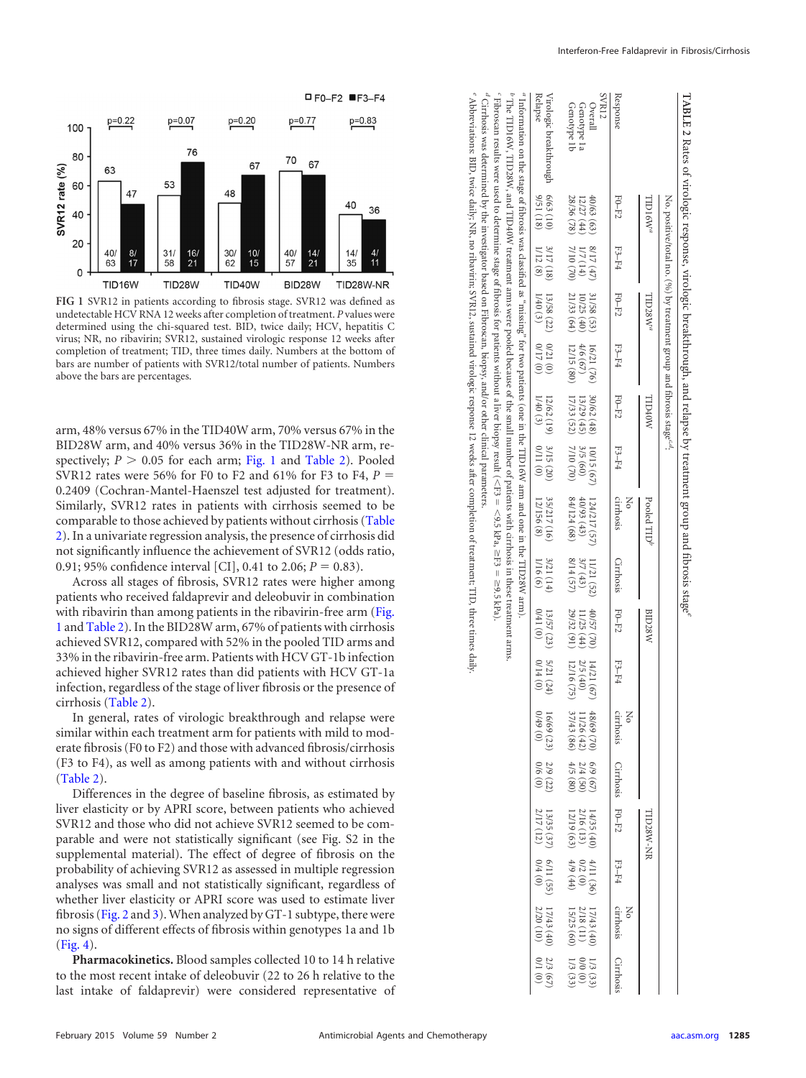

<span id="page-3-0"></span>**FIG 1** SVR12 in patients according to fibrosis stage. SVR12 was defined as undetectable HCV RNA 12 weeks after completion of treatment. *P* values were determined using the chi-squared test. BID, twice daily; HCV, hepatitis C virus; NR, no ribavirin; SVR12, sustained virologic response 12 weeks after completion of treatment; TID, three times daily. Numbers at the bottom of bars are number of patients with SVR12/total number of patients. Numbers above the bars are percentages.

arm, 48% versus 67% in the TID40W arm, 70% versus 67% in the BID28W arm, and 40% versus 36% in the TID28W-NR arm, respectively;  $P > 0.05$  for each arm; [Fig. 1](#page-3-0) and [Table 2\)](#page-3-1). Pooled SVR12 rates were 56% for F0 to F2 and 61% for F3 to F4, *P* 0.2409 (Cochran-Mantel-Haenszel test adjusted for treatment). Similarly, SVR12 rates in patients with cirrhosis seemed to be comparable to those achieved by patients without cirrhosis [\(Table](#page-3-1) [2\)](#page-3-1). In a univariate regression analysis, the presence of cirrhosis did not significantly influence the achievement of SVR12 (odds ratio, 0.91; 95% confidence interval [CI], 0.41 to 2.06;  $P = 0.83$ ).

Across all stages of fibrosis, SVR12 rates were higher among patients who received faldaprevir and deleobuvir in combination with ribavirin than among patients in the ribavirin-free arm [\(Fig.](#page-3-0) [1](#page-3-0) and [Table 2\)](#page-3-1). In the BID28W arm, 67% of patients with cirrhosis achieved SVR12, compared with 52% in the pooled TID arms and 33% in the ribavirin-free arm. Patients with HCV GT-1b infection achieved higher SVR12 rates than did patients with HCV GT-1a infection, regardless of the stage of liver fibrosis or the presence of cirrhosis [\(Table 2\)](#page-3-1).

In general, rates of virologic breakthrough and relapse were similar within each treatment arm for patients with mild to moderate fibrosis (F0 to F2) and those with advanced fibrosis/cirrhosis (F3 to F4), as well as among patients with and without cirrhosis [\(Table 2\)](#page-3-1).

Differences in the degree of baseline fibrosis, as estimated by liver elasticity or by APRI score, between patients who achieved SVR12 and those who did not achieve SVR12 seemed to be comparable and were not statistically significant (see Fig. S2 in the supplemental material). The effect of degree of fibrosis on the probability of achieving SVR12 as assessed in multiple regression analyses was small and not statistically significant, regardless of whether liver elasticity or APRI score was used to estimate liver fibrosis [\(Fig. 2](#page-4-0) and [3\)](#page-4-1). When analyzed by GT-1 subtype, there were no signs of different effects of fibrosis within genotypes 1a and 1b [\(Fig. 4\)](#page-5-0).

**Pharmacokinetics.** Blood samples collected 10 to 14 h relative to the most recent intake of deleobuvir (22 to 26 h relative to the last intake of faldaprevir) were considered representative of *e*

Abbreviations:

BID,

twice daily;

 NR,no

ribavirin; SVR12,

sustained

virologic

response

12 weeks after completion of

treatment;

 TID,three

times daily.

<span id="page-3-1"></span>

| TABLE 2 Rates of virologic response, virologic breakthrough, and relapse by treatment group and therosis stage <sup>e</sup>                                                                                                    |                         |          |                     |            | No. positive/total no. (%) by treatment group and fibrosis stage <sup>6-41</sup> . |                       |                                                                               |                          |                                    |              |                                                                                              |                                 |                                                  |                     |                                                                                     |          |
|--------------------------------------------------------------------------------------------------------------------------------------------------------------------------------------------------------------------------------|-------------------------|----------|---------------------|------------|------------------------------------------------------------------------------------|-----------------------|-------------------------------------------------------------------------------|--------------------------|------------------------------------|--------------|----------------------------------------------------------------------------------------------|---------------------------------|--------------------------------------------------|---------------------|-------------------------------------------------------------------------------------|----------|
|                                                                                                                                                                                                                                | TID16W <sup>a</sup>     |          | TID28W <sup>a</sup> |            | M0PCI1                                                                             |                       | Pooled TID <sup>p</sup>                                                       |                          | <b>BID28W</b>                      |              |                                                                                              |                                 | TD28W-NR                                         |                     |                                                                                     |          |
| Response                                                                                                                                                                                                                       | F0-F2                   | F3-F4    | F0-F2               | F3-F4      | $E0-F2$                                                                            | F3-F4                 | cirrhosis<br>Š                                                                | Cirrhosis                | $E0-E2$                            | F3-F4        | cirrhosis<br>Š                                                                               | Cirrhosis F0-F2                 |                                                  | F3-F4               | cirrhosis                                                                           | Cirrhosi |
| SVR12<br>Overall                                                                                                                                                                                                               | 40/63 (63)              | 8/17(47) | 31/58 (53)          | 16/21 (76) |                                                                                    | 30/62 (48) 10/15 (67) | 124/217 (57) 11/21 (52)                                                       |                          | (0/57(70)                          | 14/21 $(67)$ |                                                                                              |                                 |                                                  |                     |                                                                                     | 1/3 (33  |
| Genotype 1b<br>Genotype la                                                                                                                                                                                                     | 28/36 (78)<br>12/27(44) | 1/7(14)  | 10/25 (40)          | $4/6$ (67) | 13/29 (45) 3/5 (60)                                                                |                       | 7/10 (70) 21/33 (64) 12/15 (80) 17/33 (52) 7/10 (70) 84/124 (68)<br>40/93(43) | $(25)$ $t1/8$<br>3/7(43) | 29/32 (91) 12/16 (75)<br>11/25(44) | 2/5 (40)     | 37/43 (86)<br>$\begin{array}{c} 4809 \ (70) \\ 11/26 \ (42) \end{array}$                     | 4/5(80)<br>6/9 (67)<br>2/4 (50) | $12/19(63)$ $4/9(44)$<br>14/35 (40)<br>2/16 (13) | $4/11 (36) 0/2 (0)$ | 15/25 (60) 1/3 (33)<br>$\begin{array}{c} 17/43 \ (40) \\ 2/18 \ (11) \end{array}$   | 0/0 (0)  |
| Virologic breakthrough 6/63 (10) 3/17 (18) 13/58 (22) 0/21 (0) 12/62 (19) 3/15 (20) 35/217 (16) 37/21 (14) 3/2<br>Relapse Relapse 9/51 (18) 1/12 (8) 1/40 (3) 0/17 (0) 1/40 (3) 0/11 (0) 12/156 (8) 1/16 (6) 0/41 (0) 0/14 (0) |                         |          |                     |            |                                                                                    |                       | $12/62$ (19) $3/15$ (20) $35/217$ (16) $3/21$ (14) $13/57$ (23) $5/21$ (24)   |                          |                                    |              | $(0)$ 6 $t/0$<br>$\begin{array}{cc} 16/69~(23) & 2/9~(22) \\ 0/49~(0) & 0/6~(0) \end{array}$ |                                 |                                                  |                     | $2/17(12)$ $0/4(0)$ $2/20(10)$ $0/1(0)$<br>13/35 (37) 6/11 (55) 17/43 (40) 2/3 (67) |          |
| $^p$ TLD IGW, TLD28W, and TLD40W treatment arms were pooled because of the small number of patients with cirrhosis in these treatment arms.                                                                                    |                         |          |                     |            |                                                                                    |                       |                                                                               |                          |                                    |              |                                                                                              |                                 |                                                  |                     |                                                                                     |          |
|                                                                                                                                                                                                                                |                         |          |                     |            |                                                                                    |                       |                                                                               |                          |                                    |              |                                                                                              |                                 |                                                  |                     |                                                                                     |          |
| $^4$ Cirrhosis was determined by the investigator based on Fibroscan, biopsy, shd/or other clinical parameters:                                                                                                                |                         |          |                     |            |                                                                                    |                       |                                                                               |                          |                                    |              |                                                                                              |                                 |                                                  |                     |                                                                                     |          |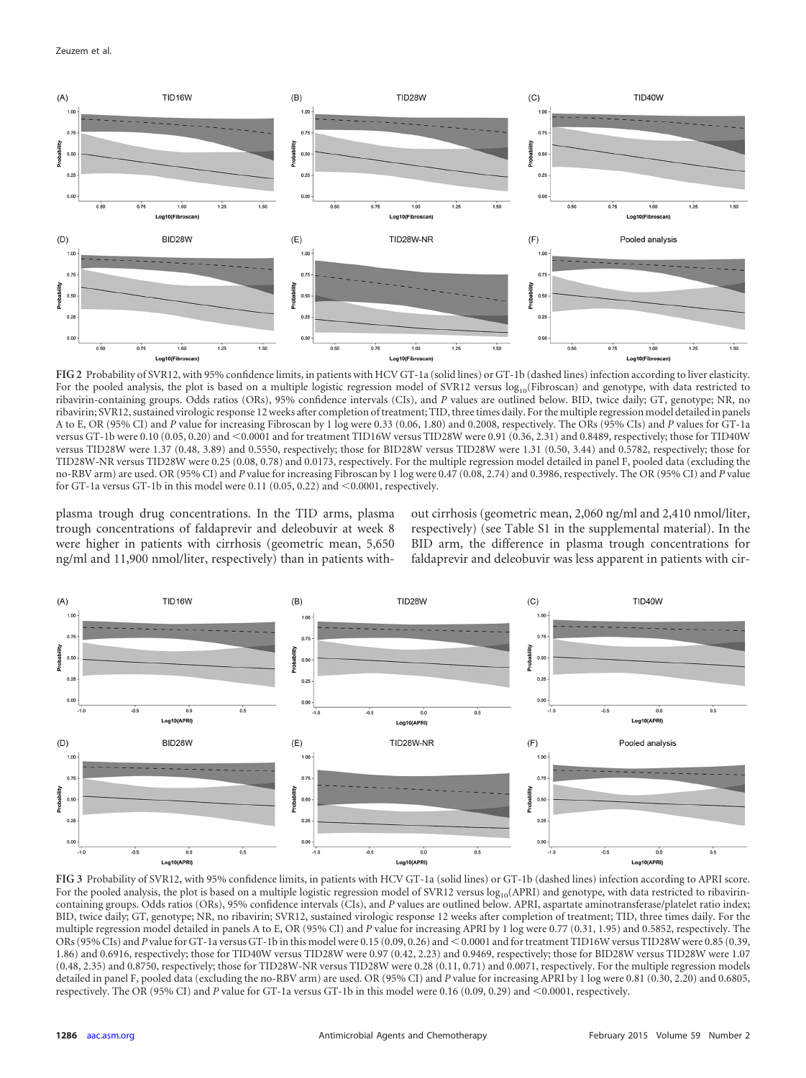

<span id="page-4-0"></span>**FIG 2** Probability of SVR12, with 95% confidence limits, in patients with HCV GT-1a (solid lines) or GT-1b (dashed lines) infection according to liver elasticity. For the pooled analysis, the plot is based on a multiple logistic regression model of SVR12 versus  $log_{10}(Fibroscan)$  and genotype, with data restricted to ribavirin-containing groups. Odds ratios (ORs), 95% confidence intervals (CIs), and *P* values are outlined below. BID, twice daily; GT, genotype; NR, no ribavirin; SVR12, sustained virologic response 12 weeks after completion of treatment; TID, three times daily. For the multiple regression model detailed in panels A to E, OR (95% CI) and *P* value for increasing Fibroscan by 1 log were 0.33 (0.06, 1.80) and 0.2008, respectively. The ORs (95% CIs) and *P* values for GT-1a versus GT-1b were 0.10 (0.05, 0.20) and -0.0001 and for treatment TID16W versus TID28W were 0.91 (0.36, 2.31) and 0.8489, respectively; those for TID40W versus TID28W were 1.37 (0.48, 3.89) and 0.5550, respectively; those for BID28W versus TID28W were 1.31 (0.50, 3.44) and 0.5782, respectively; those for TID28W-NR versus TID28W were 0.25 (0.08, 0.78) and 0.0173, respectively. For the multiple regression model detailed in panel F, pooled data (excluding the no-RBV arm) are used. OR (95% CI) and *P* value for increasing Fibroscan by 1 log were 0.47 (0.08, 2.74) and 0.3986, respectively. The OR (95% CI) and *P* value for GT-1a versus GT-1b in this model were  $0.11$   $(0.05, 0.22)$  and  $\leq 0.0001$ , respectively.

plasma trough drug concentrations. In the TID arms, plasma trough concentrations of faldaprevir and deleobuvir at week 8 were higher in patients with cirrhosis (geometric mean, 5,650 ng/ml and 11,900 nmol/liter, respectively) than in patients without cirrhosis (geometric mean, 2,060 ng/ml and 2,410 nmol/liter, respectively) (see Table S1 in the supplemental material). In the BID arm, the difference in plasma trough concentrations for faldaprevir and deleobuvir was less apparent in patients with cir-



<span id="page-4-1"></span>**FIG 3** Probability of SVR12, with 95% confidence limits, in patients with HCV GT-1a (solid lines) or GT-1b (dashed lines) infection according to APRI score. For the pooled analysis, the plot is based on a multiple logistic regression model of SVR12 versus log<sub>10</sub>(APRI) and genotype, with data restricted to ribavirincontaining groups. Odds ratios (ORs), 95% confidence intervals (CIs), and *P* values are outlined below. APRI, aspartate aminotransferase/platelet ratio index; BID, twice daily; GT, genotype; NR, no ribavirin; SVR12, sustained virologic response 12 weeks after completion of treatment; TID, three times daily. For the multiple regression model detailed in panels A to E, OR (95% CI) and *P* value for increasing APRI by 1 log were 0.77 (0.31, 1.95) and 0.5852, respectively. The ORs (95% CIs) and *P* value for GT-1a versus GT-1b in this model were 0.15 (0.09, 0.26) and < 0.0001 and for treatment TID16W versus TID28W were 0.85 (0.39, 1.86) and 0.6916, respectively; those for TID40W versus TID28W were 0.97 (0.42, 2.23) and 0.9469, respectively; those for BID28W versus TID28W were 1.07 (0.48, 2.35) and 0.8750, respectively; those for TID28W-NR versus TID28W were 0.28 (0.11, 0.71) and 0.0071, respectively. For the multiple regression models detailed in panel F, pooled data (excluding the no-RBV arm) are used. OR (95% CI) and *P* value for increasing APRI by 1 log were 0.81 (0.30, 2.20) and 0.6805, respectively. The OR (95% CI) and *P* value for GT-1a versus GT-1b in this model were 0.16 (0.09, 0.29) and -0.0001, respectively.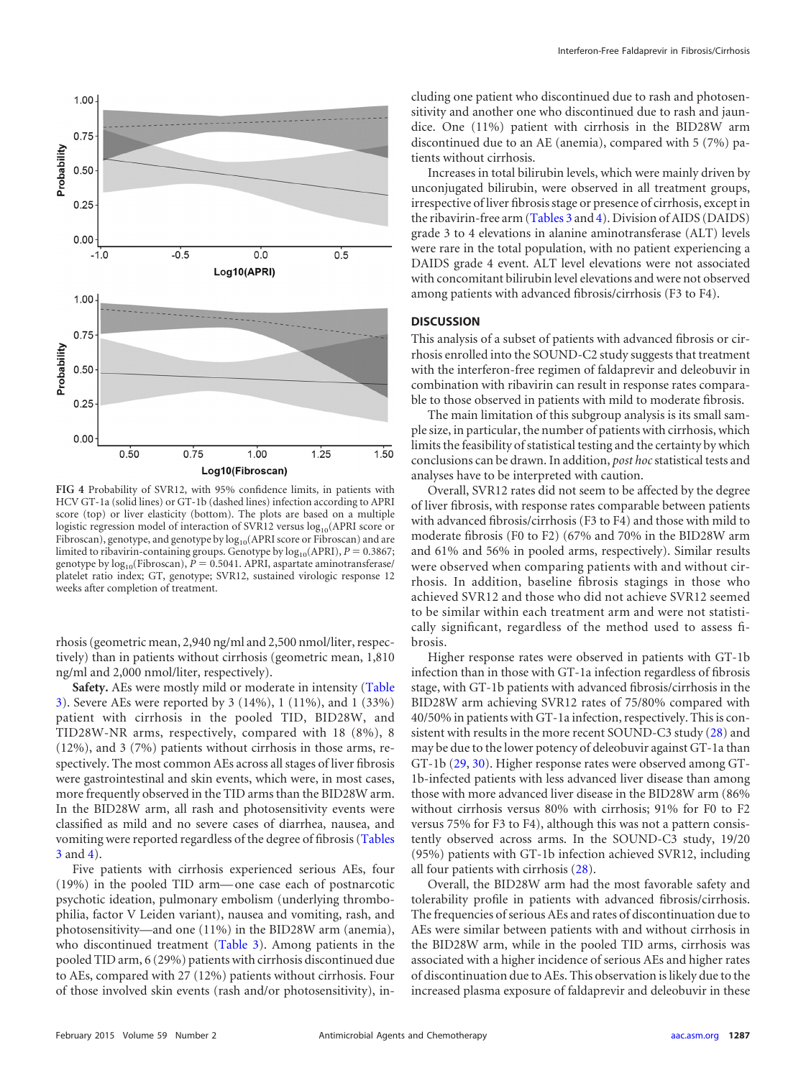

<span id="page-5-0"></span>**FIG 4** Probability of SVR12, with 95% confidence limits, in patients with HCV GT-1a (solid lines) or GT-1b (dashed lines) infection according to APRI score (top) or liver elasticity (bottom). The plots are based on a multiple logistic regression model of interaction of SVR12 versus  $log_{10}(APRI)$  score or Fibroscan), genotype, and genotype by  $log_{10}(APRI score or Fibroscan)$  and are limited to ribavirin-containing groups. Genotype by  $log_{10}(APRI)$ ,  $P = 0.3867$ ; genotype by  $log_{10}(Fibroscan), P = 0.5041$ . APRI, aspartate aminotransferase/ platelet ratio index; GT, genotype; SVR12, sustained virologic response 12 weeks after completion of treatment.

rhosis (geometric mean, 2,940 ng/ml and 2,500 nmol/liter, respectively) than in patients without cirrhosis (geometric mean, 1,810 ng/ml and 2,000 nmol/liter, respectively).

**Safety.** AEs were mostly mild or moderate in intensity [\(Table](#page-6-0) [3\)](#page-6-0). Severe AEs were reported by 3 (14%), 1 (11%), and 1 (33%) patient with cirrhosis in the pooled TID, BID28W, and TID28W-NR arms, respectively, compared with 18 (8%), 8 (12%), and 3 (7%) patients without cirrhosis in those arms, respectively. The most common AEs across all stages of liver fibrosis were gastrointestinal and skin events, which were, in most cases, more frequently observed in the TID arms than the BID28W arm. In the BID28W arm, all rash and photosensitivity events were classified as mild and no severe cases of diarrhea, nausea, and vomiting were reported regardless of the degree of fibrosis [\(Tables](#page-6-0) [3](#page-6-0) and [4\)](#page-7-0).

Five patients with cirrhosis experienced serious AEs, four (19%) in the pooled TID arm— one case each of postnarcotic psychotic ideation, pulmonary embolism (underlying thrombophilia, factor V Leiden variant), nausea and vomiting, rash, and photosensitivity—and one (11%) in the BID28W arm (anemia), who discontinued treatment [\(Table 3\)](#page-6-0). Among patients in the pooled TID arm, 6 (29%) patients with cirrhosis discontinued due to AEs, compared with 27 (12%) patients without cirrhosis. Four of those involved skin events (rash and/or photosensitivity), including one patient who discontinued due to rash and photosensitivity and another one who discontinued due to rash and jaundice. One (11%) patient with cirrhosis in the BID28W arm discontinued due to an AE (anemia), compared with 5 (7%) patients without cirrhosis.

Increases in total bilirubin levels, which were mainly driven by unconjugated bilirubin, were observed in all treatment groups, irrespective of liver fibrosis stage or presence of cirrhosis, except in the ribavirin-free arm [\(Tables 3](#page-6-0) and [4\)](#page-7-0). Division of AIDS (DAIDS) grade 3 to 4 elevations in alanine aminotransferase (ALT) levels were rare in the total population, with no patient experiencing a DAIDS grade 4 event. ALT level elevations were not associated with concomitant bilirubin level elevations and were not observed among patients with advanced fibrosis/cirrhosis (F3 to F4).

### **DISCUSSION**

This analysis of a subset of patients with advanced fibrosis or cirrhosis enrolled into the SOUND-C2 study suggests that treatment with the interferon-free regimen of faldaprevir and deleobuvir in combination with ribavirin can result in response rates comparable to those observed in patients with mild to moderate fibrosis.

The main limitation of this subgroup analysis is its small sample size, in particular, the number of patients with cirrhosis, which limits the feasibility of statistical testing and the certainty by which conclusions can be drawn. In addition, *post hoc*statistical tests and analyses have to be interpreted with caution.

Overall, SVR12 rates did not seem to be affected by the degree of liver fibrosis, with response rates comparable between patients with advanced fibrosis/cirrhosis (F3 to F4) and those with mild to moderate fibrosis (F0 to F2) (67% and 70% in the BID28W arm and 61% and 56% in pooled arms, respectively). Similar results were observed when comparing patients with and without cirrhosis. In addition, baseline fibrosis stagings in those who achieved SVR12 and those who did not achieve SVR12 seemed to be similar within each treatment arm and were not statistically significant, regardless of the method used to assess fibrosis.

Higher response rates were observed in patients with GT-1b infection than in those with GT-1a infection regardless of fibrosis stage, with GT-1b patients with advanced fibrosis/cirrhosis in the BID28W arm achieving SVR12 rates of 75/80% compared with 40/50% in patients with GT-1a infection, respectively. This is consistent with results in the more recent SOUND-C3 study [\(28\)](#page-9-7) and may be due to the lower potency of deleobuvir against GT-1a than GT-1b [\(29,](#page-9-8) [30\)](#page-9-9). Higher response rates were observed among GT-1b-infected patients with less advanced liver disease than among those with more advanced liver disease in the BID28W arm (86% without cirrhosis versus 80% with cirrhosis; 91% for F0 to F2 versus 75% for F3 to F4), although this was not a pattern consistently observed across arms. In the SOUND-C3 study, 19/20 (95%) patients with GT-1b infection achieved SVR12, including all four patients with cirrhosis [\(28\)](#page-9-7).

Overall, the BID28W arm had the most favorable safety and tolerability profile in patients with advanced fibrosis/cirrhosis. The frequencies of serious AEs and rates of discontinuation due to AEs were similar between patients with and without cirrhosis in the BID28W arm, while in the pooled TID arms, cirrhosis was associated with a higher incidence of serious AEs and higher rates of discontinuation due to AEs. This observation is likely due to the increased plasma exposure of faldaprevir and deleobuvir in these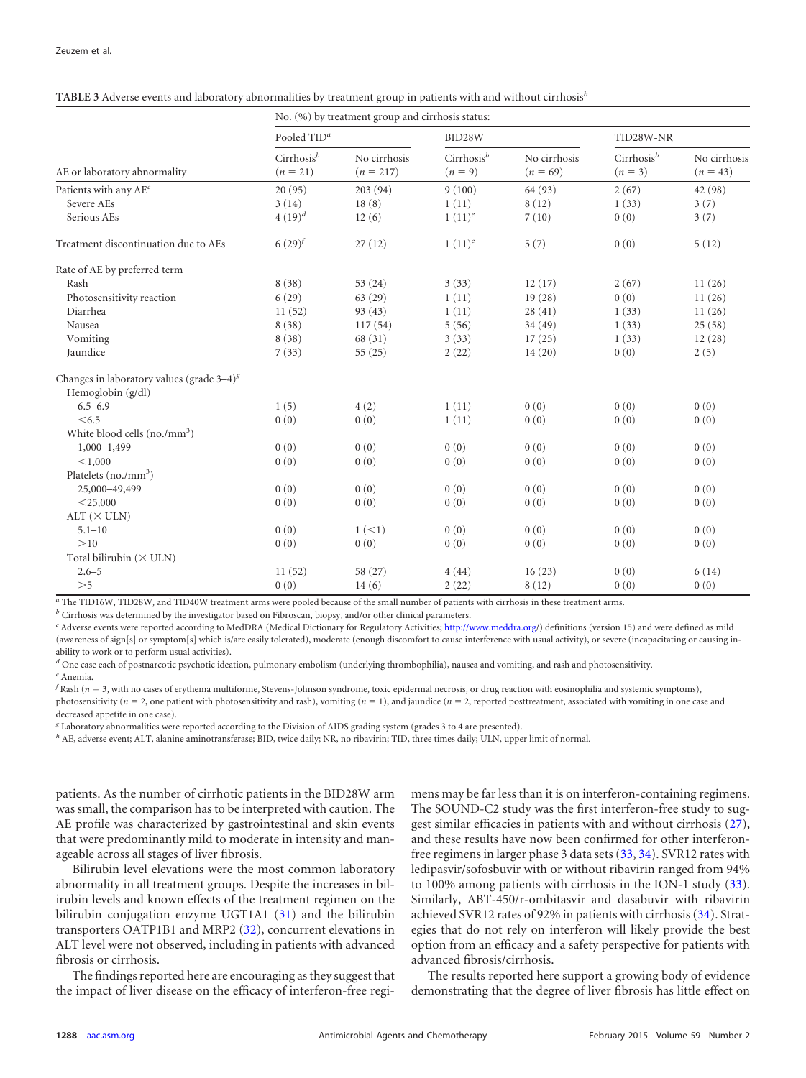<span id="page-6-0"></span>

| TABLE 3 Adverse events and laboratory abnormalities by treatment group in patients with and without cirrhosis <sup>h</sup> |  |  |  |
|----------------------------------------------------------------------------------------------------------------------------|--|--|--|
|                                                                                                                            |  |  |  |

|                                                                               | No. (%) by treatment group and cirrhosis status: |                             |                                   |                            |                                     |                            |  |  |  |
|-------------------------------------------------------------------------------|--------------------------------------------------|-----------------------------|-----------------------------------|----------------------------|-------------------------------------|----------------------------|--|--|--|
|                                                                               | Pooled TID <sup>a</sup>                          |                             | BID28W                            |                            | TID28W-NR                           |                            |  |  |  |
| AE or laboratory abnormality                                                  | Cirrhosis <sup>b</sup><br>$(n = 21)$             | No cirrhosis<br>$(n = 217)$ | Cirrhosis <sup>b</sup><br>$(n=9)$ | No cirrhosis<br>$(n = 69)$ | Cirrhosis <sup>b</sup><br>$(n = 3)$ | No cirrhosis<br>$(n = 43)$ |  |  |  |
| Patients with any AE <sup>c</sup>                                             | 20(95)                                           | 203(94)                     | 9(100)                            | 64 (93)                    | 2(67)                               | 42 (98)                    |  |  |  |
| Severe AEs                                                                    | 3(14)                                            | 18(8)                       | 1(11)                             | 8(12)                      | 1(33)                               | 3(7)                       |  |  |  |
| Serious AEs                                                                   | $4(19)^{d}$                                      | 12(6)                       | $1(11)^e$                         | 7(10)                      | 0(0)                                | 3(7)                       |  |  |  |
| Treatment discontinuation due to AEs                                          | $6(29)^f$                                        | 27(12)                      | $1(11)^e$                         | 5(7)                       | 0(0)                                | 5(12)                      |  |  |  |
| Rate of AE by preferred term                                                  |                                                  |                             |                                   |                            |                                     |                            |  |  |  |
| Rash                                                                          | 8(38)                                            | 53 (24)                     | 3(33)                             | 12(17)                     | 2(67)                               | 11(26)                     |  |  |  |
| Photosensitivity reaction                                                     | 6(29)                                            | 63(29)                      | 1(11)                             | 19(28)                     | 0(0)                                | 11(26)                     |  |  |  |
| Diarrhea                                                                      | 11(52)                                           | 93 (43)                     | 1(11)                             | 28(41)                     | 1(33)                               | 11(26)                     |  |  |  |
| Nausea                                                                        | 8(38)                                            | 117(54)                     | 5(56)                             | 34 (49)                    | 1(33)                               | 25(58)                     |  |  |  |
| Vomiting                                                                      | 8(38)                                            | 68 (31)                     | 3(33)                             | 17(25)                     | 1(33)                               | 12(28)                     |  |  |  |
| Jaundice                                                                      | 7(33)                                            | 55(25)                      | 2(22)                             | 14(20)                     | 0(0)                                | 2(5)                       |  |  |  |
| Changes in laboratory values (grade $3-4$ ) <sup>g</sup><br>Hemoglobin (g/dl) |                                                  |                             |                                   |                            |                                     |                            |  |  |  |
| $6.5 - 6.9$                                                                   | 1(5)                                             | 4(2)                        | 1(11)                             | 0(0)                       | 0(0)                                | 0(0)                       |  |  |  |
| <6.5                                                                          | 0(0)                                             | 0(0)                        | 1(11)                             | 0(0)                       | 0(0)                                | 0(0)                       |  |  |  |
| White blood cells (no./mm <sup>3</sup> )                                      |                                                  |                             |                                   |                            |                                     |                            |  |  |  |
| $1,000-1,499$                                                                 | 0(0)                                             | 0(0)                        | 0(0)                              | 0(0)                       | 0(0)                                | 0(0)                       |  |  |  |
| < 1,000                                                                       | 0(0)                                             | 0(0)                        | 0(0)                              | 0(0)                       | 0(0)                                | 0(0)                       |  |  |  |
| Platelets (no./mm <sup>3</sup> )                                              |                                                  |                             |                                   |                            |                                     |                            |  |  |  |
| 25,000-49,499                                                                 | 0(0)                                             | 0(0)                        | 0(0)                              | 0(0)                       | 0(0)                                | 0(0)                       |  |  |  |
| $<$ 25,000                                                                    | 0(0)                                             | 0(0)                        | 0(0)                              | 0(0)                       | 0(0)                                | 0(0)                       |  |  |  |
| $ALT$ ( $\times$ ULN)                                                         |                                                  |                             |                                   |                            |                                     |                            |  |  |  |
| $5.1 - 10$                                                                    | 0(0)                                             | 1 (< 1)                     | 0(0)                              | 0(0)                       | 0(0)                                | 0(0)                       |  |  |  |
| >10                                                                           | 0(0)                                             | 0(0)                        | 0(0)                              | 0(0)                       | 0(0)                                | 0(0)                       |  |  |  |
| Total bilirubin $(\times$ ULN)                                                |                                                  |                             |                                   |                            |                                     |                            |  |  |  |
| $2.6 - 5$                                                                     | 11(52)                                           | 58 (27)                     | 4(44)                             | 16(23)                     | 0(0)                                | 6(14)                      |  |  |  |
| >5                                                                            | 0(0)                                             | 14(6)                       | 2(22)                             | 8(12)                      | 0(0)                                | 0(0)                       |  |  |  |

*<sup>a</sup>* The TID16W, TID28W, and TID40W treatment arms were pooled because of the small number of patients with cirrhosis in these treatment arms.

*<sup>b</sup>* Cirrhosis was determined by the investigator based on Fibroscan, biopsy, and/or other clinical parameters.

*<sup>c</sup>* Adverse events were reported according to MedDRA (Medical Dictionary for Regulatory Activities; [http://www.meddra.org/](http://www.meddra.org)) definitions (version 15) and were defined as mild (awareness of sign[s] or symptom[s] which is/are easily tolerated), moderate (enough discomfort to cause interference with usual activity), or severe (incapacitating or causing inability to work or to perform usual activities).

*<sup>d</sup>* One case each of postnarcotic psychotic ideation, pulmonary embolism (underlying thrombophilia), nausea and vomiting, and rash and photosensitivity. *<sup>e</sup>* Anemia.

*f* Rash (*n* 3, with no cases of erythema multiforme, Stevens-Johnson syndrome, toxic epidermal necrosis, or drug reaction with eosinophilia and systemic symptoms),

photosensitivity (*n* = 2, one patient with photosensitivity and rash), vomiting (*n* = 1), and jaundice (*n* = 2, reported posttreatment, associated with vomiting in one case and decreased appetite in one case).

*<sup>g</sup>* Laboratory abnormalities were reported according to the Division of AIDS grading system (grades 3 to 4 are presented).

*<sup>h</sup>* AE, adverse event; ALT, alanine aminotransferase; BID, twice daily; NR, no ribavirin; TID, three times daily; ULN, upper limit of normal.

patients. As the number of cirrhotic patients in the BID28W arm was small, the comparison has to be interpreted with caution. The AE profile was characterized by gastrointestinal and skin events that were predominantly mild to moderate in intensity and manageable across all stages of liver fibrosis.

Bilirubin level elevations were the most common laboratory abnormality in all treatment groups. Despite the increases in bilirubin levels and known effects of the treatment regimen on the bilirubin conjugation enzyme UGT1A1 [\(31\)](#page-9-10) and the bilirubin transporters OATP1B1 and MRP2 [\(32\)](#page-9-11), concurrent elevations in ALT level were not observed, including in patients with advanced fibrosis or cirrhosis.

The findings reported here are encouraging as they suggest that the impact of liver disease on the efficacy of interferon-free regi-

mens may be far less than it is on interferon-containing regimens. The SOUND-C2 study was the first interferon-free study to suggest similar efficacies in patients with and without cirrhosis [\(27\)](#page-9-6), and these results have now been confirmed for other interferonfree regimens in larger phase 3 data sets [\(33,](#page-9-12) [34\)](#page-9-13). SVR12 rates with ledipasvir/sofosbuvir with or without ribavirin ranged from 94% to 100% among patients with cirrhosis in the ION-1 study [\(33\)](#page-9-12). Similarly, ABT-450/r-ombitasvir and dasabuvir with ribavirin achieved SVR12 rates of 92% in patients with cirrhosis [\(34\)](#page-9-13). Strategies that do not rely on interferon will likely provide the best option from an efficacy and a safety perspective for patients with advanced fibrosis/cirrhosis.

The results reported here support a growing body of evidence demonstrating that the degree of liver fibrosis has little effect on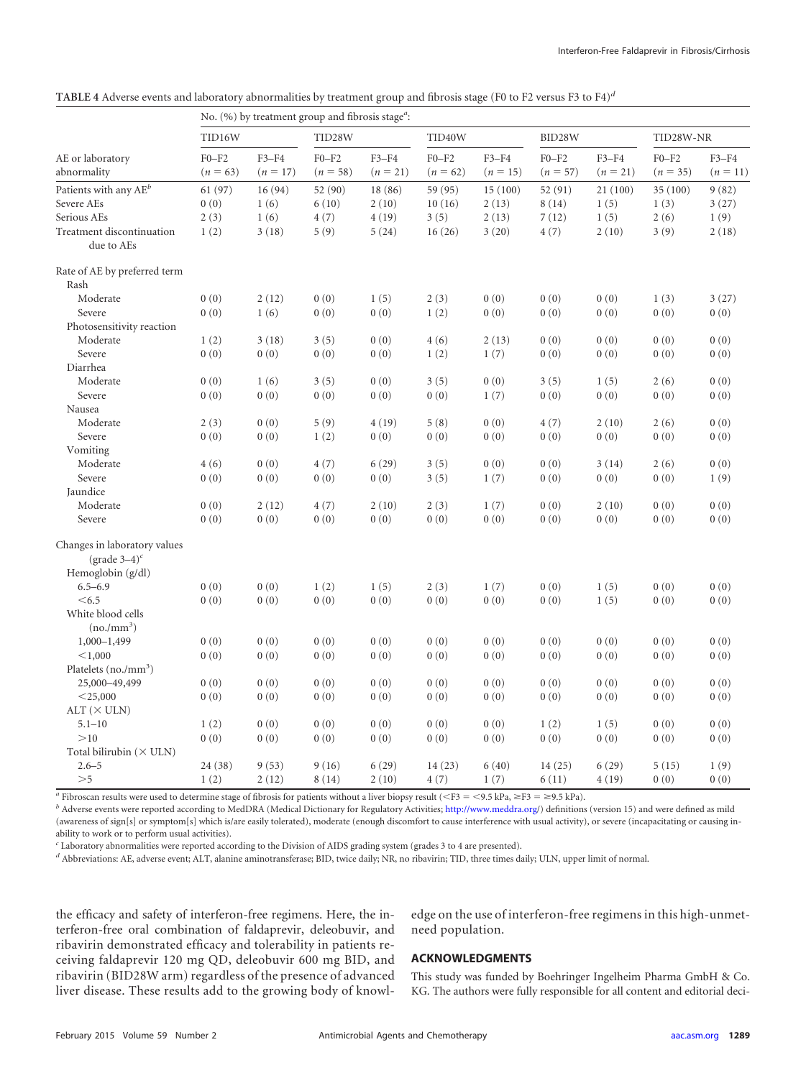| TID16W<br>TID28W<br>TID <sub>40</sub> W<br>BID28W<br>TID28W-NR<br>AE or laboratory<br>$F0-F2$<br>$F3-F4$<br>$F0-F2$<br>$F3 - F4$<br>$F0-F2$<br>$F3-F4$<br>$F0-F2$<br>$F3-F4$<br>$F0-F2$<br>$F3 - F4$<br>abnormality<br>$(n = 63)$<br>$(n = 17)$<br>$(n = 58)$<br>$(n = 21)$<br>$(n = 62)$<br>$(n = 15)$<br>$(n = 57)$<br>$(n = 21)$<br>$(n = 35)$<br>$(n = 11)$<br>Patients with any AE <sup>b</sup><br>61(97)<br>16(94)<br>52(90)<br>18(86)<br>59 (95)<br>15(100)<br>52(91)<br>21(100)<br>35(100)<br>9(82)<br>Severe AEs<br>0(0)<br>1(6)<br>6(10)<br>2(10)<br>10(16)<br>2(13)<br>8(14)<br>1(5)<br>1(3)<br>3(27)<br>Serious AEs<br>1(6)<br>3(5)<br>1(5)<br>1(9)<br>2(3)<br>4(7)<br>4(19)<br>2(13)<br>7(12)<br>2(6)<br>Treatment discontinuation<br>1(2)<br>3(18)<br>5(9)<br>16(26)<br>3(20)<br>4(7)<br>2(10)<br>3(9)<br>2(18)<br>5(24)<br>due to AEs<br>Rate of AE by preferred term<br>Rash<br>Moderate<br>0(0)<br>0(0)<br>0(0)<br>0(0)<br>0(0)<br>1(3)<br>2(12)<br>1(5)<br>2(3)<br>3(27)<br>Severe<br>0(0)<br>1(6)<br>0(0)<br>0(0)<br>1(2)<br>0(0)<br>0(0)<br>0(0)<br>0(0)<br>0(0)<br>Photosensitivity reaction<br>0(0)<br>0(0)<br>0(0)<br>Moderate<br>1(2)<br>3(18)<br>3(5)<br>4(6)<br>2(13)<br>0(0)<br>0(0)<br>Severe<br>0(0)<br>0(0)<br>0(0)<br>0(0)<br>1(2)<br>1(7)<br>0(0)<br>0(0)<br>0(0)<br>0(0)<br>Diarrhea<br>0(0)<br>0(0)<br>Moderate<br>0(0)<br>1(6)<br>3(5)<br>3(5)<br>3(5)<br>1(5)<br>2(6)<br>0(0)<br>Severe<br>0(0)<br>0(0)<br>0(0)<br>0(0)<br>0(0)<br>1(7)<br>0(0)<br>0(0)<br>0(0)<br>0(0)<br>Nausea<br>Moderate<br>2(3)<br>0(0)<br>5(9)<br>4(19)<br>5(8)<br>0(0)<br>4(7)<br>2(10)<br>2(6)<br>0(0)<br>Severe<br>0(0)<br>0(0)<br>1(2)<br>0(0)<br>0(0)<br>0(0)<br>0(0)<br>0(0)<br>0(0)<br>0(0)<br>Vomiting<br>Moderate<br>4(6)<br>0(0)<br>4(7)<br>6(29)<br>3(5)<br>0(0)<br>0(0)<br>3(14)<br>2(6)<br>0(0)<br>0(0)<br>Severe<br>0(0)<br>0(0)<br>0(0)<br>3(5)<br>1(7)<br>0(0)<br>0(0)<br>0(0)<br>1(9)<br>Jaundice<br>0(0)<br>4(7)<br>2(10)<br>2(3)<br>1(7)<br>0(0)<br>2(10)<br>0(0)<br>0(0)<br>Moderate<br>2(12)<br>0(0)<br>Severe<br>0(0)<br>0(0)<br>0(0)<br>0(0)<br>0(0)<br>0(0)<br>0(0)<br>0(0)<br>0(0)<br>Changes in laboratory values<br>(grade $3-4$ ) <sup>c</sup><br>Hemoglobin (g/dl)<br>0(0)<br>0(0)<br>$6.5 - 6.9$<br>0(0)<br>0(0)<br>1(2)<br>1(5)<br>2(3)<br>1(7)<br>0(0)<br>1(5)<br>< 6.5<br>0(0)<br>0(0)<br>0(0)<br>0(0)<br>0(0)<br>0(0)<br>0(0)<br>1(5)<br>0(0)<br>0(0)<br>White blood cells<br>$(no./mm^3)$<br>0(0)<br>0(0)<br>0(0)<br>0(0)<br>0(0)<br>0(0)<br>0(0)<br>0(0)<br>0(0)<br>0(0)<br>$1,000-1,499$<br>< 1,000<br>0(0)<br>0(0)<br>0(0)<br>0(0)<br>0(0)<br>0(0)<br>0(0)<br>0(0)<br>0(0)<br>0(0)<br>Platelets $(no./mm^3)$<br>25,000-49,499<br>0(0)<br>0(0)<br>0(0)<br>0(0)<br>0(0)<br>0(0)<br>0(0)<br>0(0)<br>0(0)<br>0(0)<br>$<$ 25,000<br>0(0)<br>0(0)<br>0(0)<br>0(0)<br>0(0)<br>0(0)<br>0(0)<br>0(0)<br>0(0)<br>0(0)<br>$ALT$ ( $\times$ ULN)<br>$5.1 - 10$<br>1(2)<br>0(0)<br>0(0)<br>0(0)<br>0(0)<br>0(0)<br>1(2)<br>1(5)<br>0(0)<br>0(0)<br>>10<br>0(0)<br>0(0)<br>0(0)<br>0(0)<br>0(0)<br>0(0)<br>0(0)<br>0(0)<br>0(0)<br>0(0)<br>Total bilirubin $(\times$ ULN)<br>$2.6 - 5$<br>24 (38)<br>9(53)<br>9(16)<br>6(29)<br>14(23)<br>6(40)<br>14(25)<br>6(29)<br>5(15)<br>1(9) |    |      | No. (%) by treatment group and fibrosis stage <sup><i>a</i></sup> : |       |       |      |      |       |       |      |      |
|------------------------------------------------------------------------------------------------------------------------------------------------------------------------------------------------------------------------------------------------------------------------------------------------------------------------------------------------------------------------------------------------------------------------------------------------------------------------------------------------------------------------------------------------------------------------------------------------------------------------------------------------------------------------------------------------------------------------------------------------------------------------------------------------------------------------------------------------------------------------------------------------------------------------------------------------------------------------------------------------------------------------------------------------------------------------------------------------------------------------------------------------------------------------------------------------------------------------------------------------------------------------------------------------------------------------------------------------------------------------------------------------------------------------------------------------------------------------------------------------------------------------------------------------------------------------------------------------------------------------------------------------------------------------------------------------------------------------------------------------------------------------------------------------------------------------------------------------------------------------------------------------------------------------------------------------------------------------------------------------------------------------------------------------------------------------------------------------------------------------------------------------------------------------------------------------------------------------------------------------------------------------------------------------------------------------------------------------------------------------------------------------------------------------------------------------------------------------------------------------------------------------------------------------------------------------------------------------------------------------------------------------------------------------------------------------------------------------------------------------------------------------------------------------------------------------------------------------------------------------------------------------------------------------------------------------------------------------------------------------------------------------------------------------------------------------------------------------------------------------------------------------------------------------------------------------------------------------|----|------|---------------------------------------------------------------------|-------|-------|------|------|-------|-------|------|------|
|                                                                                                                                                                                                                                                                                                                                                                                                                                                                                                                                                                                                                                                                                                                                                                                                                                                                                                                                                                                                                                                                                                                                                                                                                                                                                                                                                                                                                                                                                                                                                                                                                                                                                                                                                                                                                                                                                                                                                                                                                                                                                                                                                                                                                                                                                                                                                                                                                                                                                                                                                                                                                                                                                                                                                                                                                                                                                                                                                                                                                                                                                                                                                                                                                        |    |      |                                                                     |       |       |      |      |       |       |      |      |
|                                                                                                                                                                                                                                                                                                                                                                                                                                                                                                                                                                                                                                                                                                                                                                                                                                                                                                                                                                                                                                                                                                                                                                                                                                                                                                                                                                                                                                                                                                                                                                                                                                                                                                                                                                                                                                                                                                                                                                                                                                                                                                                                                                                                                                                                                                                                                                                                                                                                                                                                                                                                                                                                                                                                                                                                                                                                                                                                                                                                                                                                                                                                                                                                                        |    |      |                                                                     |       |       |      |      |       |       |      |      |
|                                                                                                                                                                                                                                                                                                                                                                                                                                                                                                                                                                                                                                                                                                                                                                                                                                                                                                                                                                                                                                                                                                                                                                                                                                                                                                                                                                                                                                                                                                                                                                                                                                                                                                                                                                                                                                                                                                                                                                                                                                                                                                                                                                                                                                                                                                                                                                                                                                                                                                                                                                                                                                                                                                                                                                                                                                                                                                                                                                                                                                                                                                                                                                                                                        |    |      |                                                                     |       |       |      |      |       |       |      |      |
|                                                                                                                                                                                                                                                                                                                                                                                                                                                                                                                                                                                                                                                                                                                                                                                                                                                                                                                                                                                                                                                                                                                                                                                                                                                                                                                                                                                                                                                                                                                                                                                                                                                                                                                                                                                                                                                                                                                                                                                                                                                                                                                                                                                                                                                                                                                                                                                                                                                                                                                                                                                                                                                                                                                                                                                                                                                                                                                                                                                                                                                                                                                                                                                                                        |    |      |                                                                     |       |       |      |      |       |       |      |      |
|                                                                                                                                                                                                                                                                                                                                                                                                                                                                                                                                                                                                                                                                                                                                                                                                                                                                                                                                                                                                                                                                                                                                                                                                                                                                                                                                                                                                                                                                                                                                                                                                                                                                                                                                                                                                                                                                                                                                                                                                                                                                                                                                                                                                                                                                                                                                                                                                                                                                                                                                                                                                                                                                                                                                                                                                                                                                                                                                                                                                                                                                                                                                                                                                                        |    |      |                                                                     |       |       |      |      |       |       |      |      |
|                                                                                                                                                                                                                                                                                                                                                                                                                                                                                                                                                                                                                                                                                                                                                                                                                                                                                                                                                                                                                                                                                                                                                                                                                                                                                                                                                                                                                                                                                                                                                                                                                                                                                                                                                                                                                                                                                                                                                                                                                                                                                                                                                                                                                                                                                                                                                                                                                                                                                                                                                                                                                                                                                                                                                                                                                                                                                                                                                                                                                                                                                                                                                                                                                        |    |      |                                                                     |       |       |      |      |       |       |      |      |
|                                                                                                                                                                                                                                                                                                                                                                                                                                                                                                                                                                                                                                                                                                                                                                                                                                                                                                                                                                                                                                                                                                                                                                                                                                                                                                                                                                                                                                                                                                                                                                                                                                                                                                                                                                                                                                                                                                                                                                                                                                                                                                                                                                                                                                                                                                                                                                                                                                                                                                                                                                                                                                                                                                                                                                                                                                                                                                                                                                                                                                                                                                                                                                                                                        |    |      |                                                                     |       |       |      |      |       |       |      |      |
|                                                                                                                                                                                                                                                                                                                                                                                                                                                                                                                                                                                                                                                                                                                                                                                                                                                                                                                                                                                                                                                                                                                                                                                                                                                                                                                                                                                                                                                                                                                                                                                                                                                                                                                                                                                                                                                                                                                                                                                                                                                                                                                                                                                                                                                                                                                                                                                                                                                                                                                                                                                                                                                                                                                                                                                                                                                                                                                                                                                                                                                                                                                                                                                                                        |    |      |                                                                     |       |       |      |      |       |       |      |      |
|                                                                                                                                                                                                                                                                                                                                                                                                                                                                                                                                                                                                                                                                                                                                                                                                                                                                                                                                                                                                                                                                                                                                                                                                                                                                                                                                                                                                                                                                                                                                                                                                                                                                                                                                                                                                                                                                                                                                                                                                                                                                                                                                                                                                                                                                                                                                                                                                                                                                                                                                                                                                                                                                                                                                                                                                                                                                                                                                                                                                                                                                                                                                                                                                                        |    |      |                                                                     |       |       |      |      |       |       |      |      |
|                                                                                                                                                                                                                                                                                                                                                                                                                                                                                                                                                                                                                                                                                                                                                                                                                                                                                                                                                                                                                                                                                                                                                                                                                                                                                                                                                                                                                                                                                                                                                                                                                                                                                                                                                                                                                                                                                                                                                                                                                                                                                                                                                                                                                                                                                                                                                                                                                                                                                                                                                                                                                                                                                                                                                                                                                                                                                                                                                                                                                                                                                                                                                                                                                        |    |      |                                                                     |       |       |      |      |       |       |      |      |
|                                                                                                                                                                                                                                                                                                                                                                                                                                                                                                                                                                                                                                                                                                                                                                                                                                                                                                                                                                                                                                                                                                                                                                                                                                                                                                                                                                                                                                                                                                                                                                                                                                                                                                                                                                                                                                                                                                                                                                                                                                                                                                                                                                                                                                                                                                                                                                                                                                                                                                                                                                                                                                                                                                                                                                                                                                                                                                                                                                                                                                                                                                                                                                                                                        |    |      |                                                                     |       |       |      |      |       |       |      |      |
|                                                                                                                                                                                                                                                                                                                                                                                                                                                                                                                                                                                                                                                                                                                                                                                                                                                                                                                                                                                                                                                                                                                                                                                                                                                                                                                                                                                                                                                                                                                                                                                                                                                                                                                                                                                                                                                                                                                                                                                                                                                                                                                                                                                                                                                                                                                                                                                                                                                                                                                                                                                                                                                                                                                                                                                                                                                                                                                                                                                                                                                                                                                                                                                                                        |    |      |                                                                     |       |       |      |      |       |       |      |      |
|                                                                                                                                                                                                                                                                                                                                                                                                                                                                                                                                                                                                                                                                                                                                                                                                                                                                                                                                                                                                                                                                                                                                                                                                                                                                                                                                                                                                                                                                                                                                                                                                                                                                                                                                                                                                                                                                                                                                                                                                                                                                                                                                                                                                                                                                                                                                                                                                                                                                                                                                                                                                                                                                                                                                                                                                                                                                                                                                                                                                                                                                                                                                                                                                                        |    |      |                                                                     |       |       |      |      |       |       |      |      |
|                                                                                                                                                                                                                                                                                                                                                                                                                                                                                                                                                                                                                                                                                                                                                                                                                                                                                                                                                                                                                                                                                                                                                                                                                                                                                                                                                                                                                                                                                                                                                                                                                                                                                                                                                                                                                                                                                                                                                                                                                                                                                                                                                                                                                                                                                                                                                                                                                                                                                                                                                                                                                                                                                                                                                                                                                                                                                                                                                                                                                                                                                                                                                                                                                        |    |      |                                                                     |       |       |      |      |       |       |      |      |
|                                                                                                                                                                                                                                                                                                                                                                                                                                                                                                                                                                                                                                                                                                                                                                                                                                                                                                                                                                                                                                                                                                                                                                                                                                                                                                                                                                                                                                                                                                                                                                                                                                                                                                                                                                                                                                                                                                                                                                                                                                                                                                                                                                                                                                                                                                                                                                                                                                                                                                                                                                                                                                                                                                                                                                                                                                                                                                                                                                                                                                                                                                                                                                                                                        |    |      |                                                                     |       |       |      |      |       |       |      |      |
|                                                                                                                                                                                                                                                                                                                                                                                                                                                                                                                                                                                                                                                                                                                                                                                                                                                                                                                                                                                                                                                                                                                                                                                                                                                                                                                                                                                                                                                                                                                                                                                                                                                                                                                                                                                                                                                                                                                                                                                                                                                                                                                                                                                                                                                                                                                                                                                                                                                                                                                                                                                                                                                                                                                                                                                                                                                                                                                                                                                                                                                                                                                                                                                                                        |    |      |                                                                     |       |       |      |      |       |       |      |      |
|                                                                                                                                                                                                                                                                                                                                                                                                                                                                                                                                                                                                                                                                                                                                                                                                                                                                                                                                                                                                                                                                                                                                                                                                                                                                                                                                                                                                                                                                                                                                                                                                                                                                                                                                                                                                                                                                                                                                                                                                                                                                                                                                                                                                                                                                                                                                                                                                                                                                                                                                                                                                                                                                                                                                                                                                                                                                                                                                                                                                                                                                                                                                                                                                                        |    |      |                                                                     |       |       |      |      |       |       |      |      |
|                                                                                                                                                                                                                                                                                                                                                                                                                                                                                                                                                                                                                                                                                                                                                                                                                                                                                                                                                                                                                                                                                                                                                                                                                                                                                                                                                                                                                                                                                                                                                                                                                                                                                                                                                                                                                                                                                                                                                                                                                                                                                                                                                                                                                                                                                                                                                                                                                                                                                                                                                                                                                                                                                                                                                                                                                                                                                                                                                                                                                                                                                                                                                                                                                        |    |      |                                                                     |       |       |      |      |       |       |      |      |
|                                                                                                                                                                                                                                                                                                                                                                                                                                                                                                                                                                                                                                                                                                                                                                                                                                                                                                                                                                                                                                                                                                                                                                                                                                                                                                                                                                                                                                                                                                                                                                                                                                                                                                                                                                                                                                                                                                                                                                                                                                                                                                                                                                                                                                                                                                                                                                                                                                                                                                                                                                                                                                                                                                                                                                                                                                                                                                                                                                                                                                                                                                                                                                                                                        |    |      |                                                                     |       |       |      |      |       |       |      |      |
|                                                                                                                                                                                                                                                                                                                                                                                                                                                                                                                                                                                                                                                                                                                                                                                                                                                                                                                                                                                                                                                                                                                                                                                                                                                                                                                                                                                                                                                                                                                                                                                                                                                                                                                                                                                                                                                                                                                                                                                                                                                                                                                                                                                                                                                                                                                                                                                                                                                                                                                                                                                                                                                                                                                                                                                                                                                                                                                                                                                                                                                                                                                                                                                                                        |    |      |                                                                     |       |       |      |      |       |       |      |      |
|                                                                                                                                                                                                                                                                                                                                                                                                                                                                                                                                                                                                                                                                                                                                                                                                                                                                                                                                                                                                                                                                                                                                                                                                                                                                                                                                                                                                                                                                                                                                                                                                                                                                                                                                                                                                                                                                                                                                                                                                                                                                                                                                                                                                                                                                                                                                                                                                                                                                                                                                                                                                                                                                                                                                                                                                                                                                                                                                                                                                                                                                                                                                                                                                                        |    |      |                                                                     |       |       |      |      |       |       |      |      |
|                                                                                                                                                                                                                                                                                                                                                                                                                                                                                                                                                                                                                                                                                                                                                                                                                                                                                                                                                                                                                                                                                                                                                                                                                                                                                                                                                                                                                                                                                                                                                                                                                                                                                                                                                                                                                                                                                                                                                                                                                                                                                                                                                                                                                                                                                                                                                                                                                                                                                                                                                                                                                                                                                                                                                                                                                                                                                                                                                                                                                                                                                                                                                                                                                        |    |      |                                                                     |       |       |      |      |       |       |      |      |
|                                                                                                                                                                                                                                                                                                                                                                                                                                                                                                                                                                                                                                                                                                                                                                                                                                                                                                                                                                                                                                                                                                                                                                                                                                                                                                                                                                                                                                                                                                                                                                                                                                                                                                                                                                                                                                                                                                                                                                                                                                                                                                                                                                                                                                                                                                                                                                                                                                                                                                                                                                                                                                                                                                                                                                                                                                                                                                                                                                                                                                                                                                                                                                                                                        |    |      |                                                                     |       |       |      |      |       |       |      |      |
|                                                                                                                                                                                                                                                                                                                                                                                                                                                                                                                                                                                                                                                                                                                                                                                                                                                                                                                                                                                                                                                                                                                                                                                                                                                                                                                                                                                                                                                                                                                                                                                                                                                                                                                                                                                                                                                                                                                                                                                                                                                                                                                                                                                                                                                                                                                                                                                                                                                                                                                                                                                                                                                                                                                                                                                                                                                                                                                                                                                                                                                                                                                                                                                                                        |    |      |                                                                     |       |       |      |      |       |       |      |      |
|                                                                                                                                                                                                                                                                                                                                                                                                                                                                                                                                                                                                                                                                                                                                                                                                                                                                                                                                                                                                                                                                                                                                                                                                                                                                                                                                                                                                                                                                                                                                                                                                                                                                                                                                                                                                                                                                                                                                                                                                                                                                                                                                                                                                                                                                                                                                                                                                                                                                                                                                                                                                                                                                                                                                                                                                                                                                                                                                                                                                                                                                                                                                                                                                                        |    |      |                                                                     |       |       |      |      |       |       |      |      |
|                                                                                                                                                                                                                                                                                                                                                                                                                                                                                                                                                                                                                                                                                                                                                                                                                                                                                                                                                                                                                                                                                                                                                                                                                                                                                                                                                                                                                                                                                                                                                                                                                                                                                                                                                                                                                                                                                                                                                                                                                                                                                                                                                                                                                                                                                                                                                                                                                                                                                                                                                                                                                                                                                                                                                                                                                                                                                                                                                                                                                                                                                                                                                                                                                        |    |      |                                                                     |       |       |      |      |       |       |      |      |
|                                                                                                                                                                                                                                                                                                                                                                                                                                                                                                                                                                                                                                                                                                                                                                                                                                                                                                                                                                                                                                                                                                                                                                                                                                                                                                                                                                                                                                                                                                                                                                                                                                                                                                                                                                                                                                                                                                                                                                                                                                                                                                                                                                                                                                                                                                                                                                                                                                                                                                                                                                                                                                                                                                                                                                                                                                                                                                                                                                                                                                                                                                                                                                                                                        |    |      |                                                                     |       |       |      |      |       |       |      |      |
|                                                                                                                                                                                                                                                                                                                                                                                                                                                                                                                                                                                                                                                                                                                                                                                                                                                                                                                                                                                                                                                                                                                                                                                                                                                                                                                                                                                                                                                                                                                                                                                                                                                                                                                                                                                                                                                                                                                                                                                                                                                                                                                                                                                                                                                                                                                                                                                                                                                                                                                                                                                                                                                                                                                                                                                                                                                                                                                                                                                                                                                                                                                                                                                                                        |    |      |                                                                     |       |       |      |      |       |       |      |      |
|                                                                                                                                                                                                                                                                                                                                                                                                                                                                                                                                                                                                                                                                                                                                                                                                                                                                                                                                                                                                                                                                                                                                                                                                                                                                                                                                                                                                                                                                                                                                                                                                                                                                                                                                                                                                                                                                                                                                                                                                                                                                                                                                                                                                                                                                                                                                                                                                                                                                                                                                                                                                                                                                                                                                                                                                                                                                                                                                                                                                                                                                                                                                                                                                                        |    |      |                                                                     |       |       |      |      |       |       |      |      |
|                                                                                                                                                                                                                                                                                                                                                                                                                                                                                                                                                                                                                                                                                                                                                                                                                                                                                                                                                                                                                                                                                                                                                                                                                                                                                                                                                                                                                                                                                                                                                                                                                                                                                                                                                                                                                                                                                                                                                                                                                                                                                                                                                                                                                                                                                                                                                                                                                                                                                                                                                                                                                                                                                                                                                                                                                                                                                                                                                                                                                                                                                                                                                                                                                        |    |      |                                                                     |       |       |      |      |       |       |      |      |
|                                                                                                                                                                                                                                                                                                                                                                                                                                                                                                                                                                                                                                                                                                                                                                                                                                                                                                                                                                                                                                                                                                                                                                                                                                                                                                                                                                                                                                                                                                                                                                                                                                                                                                                                                                                                                                                                                                                                                                                                                                                                                                                                                                                                                                                                                                                                                                                                                                                                                                                                                                                                                                                                                                                                                                                                                                                                                                                                                                                                                                                                                                                                                                                                                        |    |      |                                                                     |       |       |      |      |       |       |      |      |
|                                                                                                                                                                                                                                                                                                                                                                                                                                                                                                                                                                                                                                                                                                                                                                                                                                                                                                                                                                                                                                                                                                                                                                                                                                                                                                                                                                                                                                                                                                                                                                                                                                                                                                                                                                                                                                                                                                                                                                                                                                                                                                                                                                                                                                                                                                                                                                                                                                                                                                                                                                                                                                                                                                                                                                                                                                                                                                                                                                                                                                                                                                                                                                                                                        |    |      |                                                                     |       |       |      |      |       |       |      |      |
|                                                                                                                                                                                                                                                                                                                                                                                                                                                                                                                                                                                                                                                                                                                                                                                                                                                                                                                                                                                                                                                                                                                                                                                                                                                                                                                                                                                                                                                                                                                                                                                                                                                                                                                                                                                                                                                                                                                                                                                                                                                                                                                                                                                                                                                                                                                                                                                                                                                                                                                                                                                                                                                                                                                                                                                                                                                                                                                                                                                                                                                                                                                                                                                                                        |    |      |                                                                     |       |       |      |      |       |       |      |      |
|                                                                                                                                                                                                                                                                                                                                                                                                                                                                                                                                                                                                                                                                                                                                                                                                                                                                                                                                                                                                                                                                                                                                                                                                                                                                                                                                                                                                                                                                                                                                                                                                                                                                                                                                                                                                                                                                                                                                                                                                                                                                                                                                                                                                                                                                                                                                                                                                                                                                                                                                                                                                                                                                                                                                                                                                                                                                                                                                                                                                                                                                                                                                                                                                                        |    |      |                                                                     |       |       |      |      |       |       |      |      |
|                                                                                                                                                                                                                                                                                                                                                                                                                                                                                                                                                                                                                                                                                                                                                                                                                                                                                                                                                                                                                                                                                                                                                                                                                                                                                                                                                                                                                                                                                                                                                                                                                                                                                                                                                                                                                                                                                                                                                                                                                                                                                                                                                                                                                                                                                                                                                                                                                                                                                                                                                                                                                                                                                                                                                                                                                                                                                                                                                                                                                                                                                                                                                                                                                        |    |      |                                                                     |       |       |      |      |       |       |      |      |
|                                                                                                                                                                                                                                                                                                                                                                                                                                                                                                                                                                                                                                                                                                                                                                                                                                                                                                                                                                                                                                                                                                                                                                                                                                                                                                                                                                                                                                                                                                                                                                                                                                                                                                                                                                                                                                                                                                                                                                                                                                                                                                                                                                                                                                                                                                                                                                                                                                                                                                                                                                                                                                                                                                                                                                                                                                                                                                                                                                                                                                                                                                                                                                                                                        |    |      |                                                                     |       |       |      |      |       |       |      |      |
|                                                                                                                                                                                                                                                                                                                                                                                                                                                                                                                                                                                                                                                                                                                                                                                                                                                                                                                                                                                                                                                                                                                                                                                                                                                                                                                                                                                                                                                                                                                                                                                                                                                                                                                                                                                                                                                                                                                                                                                                                                                                                                                                                                                                                                                                                                                                                                                                                                                                                                                                                                                                                                                                                                                                                                                                                                                                                                                                                                                                                                                                                                                                                                                                                        |    |      |                                                                     |       |       |      |      |       |       |      |      |
|                                                                                                                                                                                                                                                                                                                                                                                                                                                                                                                                                                                                                                                                                                                                                                                                                                                                                                                                                                                                                                                                                                                                                                                                                                                                                                                                                                                                                                                                                                                                                                                                                                                                                                                                                                                                                                                                                                                                                                                                                                                                                                                                                                                                                                                                                                                                                                                                                                                                                                                                                                                                                                                                                                                                                                                                                                                                                                                                                                                                                                                                                                                                                                                                                        |    |      |                                                                     |       |       |      |      |       |       |      |      |
|                                                                                                                                                                                                                                                                                                                                                                                                                                                                                                                                                                                                                                                                                                                                                                                                                                                                                                                                                                                                                                                                                                                                                                                                                                                                                                                                                                                                                                                                                                                                                                                                                                                                                                                                                                                                                                                                                                                                                                                                                                                                                                                                                                                                                                                                                                                                                                                                                                                                                                                                                                                                                                                                                                                                                                                                                                                                                                                                                                                                                                                                                                                                                                                                                        |    |      |                                                                     |       |       |      |      |       |       |      |      |
|                                                                                                                                                                                                                                                                                                                                                                                                                                                                                                                                                                                                                                                                                                                                                                                                                                                                                                                                                                                                                                                                                                                                                                                                                                                                                                                                                                                                                                                                                                                                                                                                                                                                                                                                                                                                                                                                                                                                                                                                                                                                                                                                                                                                                                                                                                                                                                                                                                                                                                                                                                                                                                                                                                                                                                                                                                                                                                                                                                                                                                                                                                                                                                                                                        | >5 | 1(2) | 2(12)                                                               | 8(14) | 2(10) | 4(7) | 1(7) | 6(11) | 4(19) | 0(0) | 0(0) |

<span id="page-7-0"></span>**TABLE 4** Adverse events and laboratory abnormalities by treatment group and fibrosis stage (F0 to F2 versus F3 to F4)*<sup>d</sup>*

*a* Fibroscan results were used to determine stage of fibrosis for patients without a liver biopsy result (<F3 = <9.5 kPa,  $\geq$ F3 =  $\geq$ 9.5 kPa).

*<sup>b</sup>* Adverse events were reported according to MedDRA (Medical Dictionary for Regulatory Activities; [http://www.meddra.org/](http://www.meddra.org)) definitions (version 15) and were defined as mild (awareness of sign[s] or symptom[s] which is/are easily tolerated), moderate (enough discomfort to cause interference with usual activity), or severe (incapacitating or causing inability to work or to perform usual activities).

*<sup>c</sup>* Laboratory abnormalities were reported according to the Division of AIDS grading system (grades 3 to 4 are presented).

*<sup>d</sup>* Abbreviations: AE, adverse event; ALT, alanine aminotransferase; BID, twice daily; NR, no ribavirin; TID, three times daily; ULN, upper limit of normal.

the efficacy and safety of interferon-free regimens. Here, the interferon-free oral combination of faldaprevir, deleobuvir, and ribavirin demonstrated efficacy and tolerability in patients receiving faldaprevir 120 mg QD, deleobuvir 600 mg BID, and ribavirin (BID28W arm) regardless of the presence of advanced liver disease. These results add to the growing body of knowledge on the use of interferon-free regimens in this high-unmetneed population.

## **ACKNOWLEDGMENTS**

This study was funded by Boehringer Ingelheim Pharma GmbH & Co. KG. The authors were fully responsible for all content and editorial deci-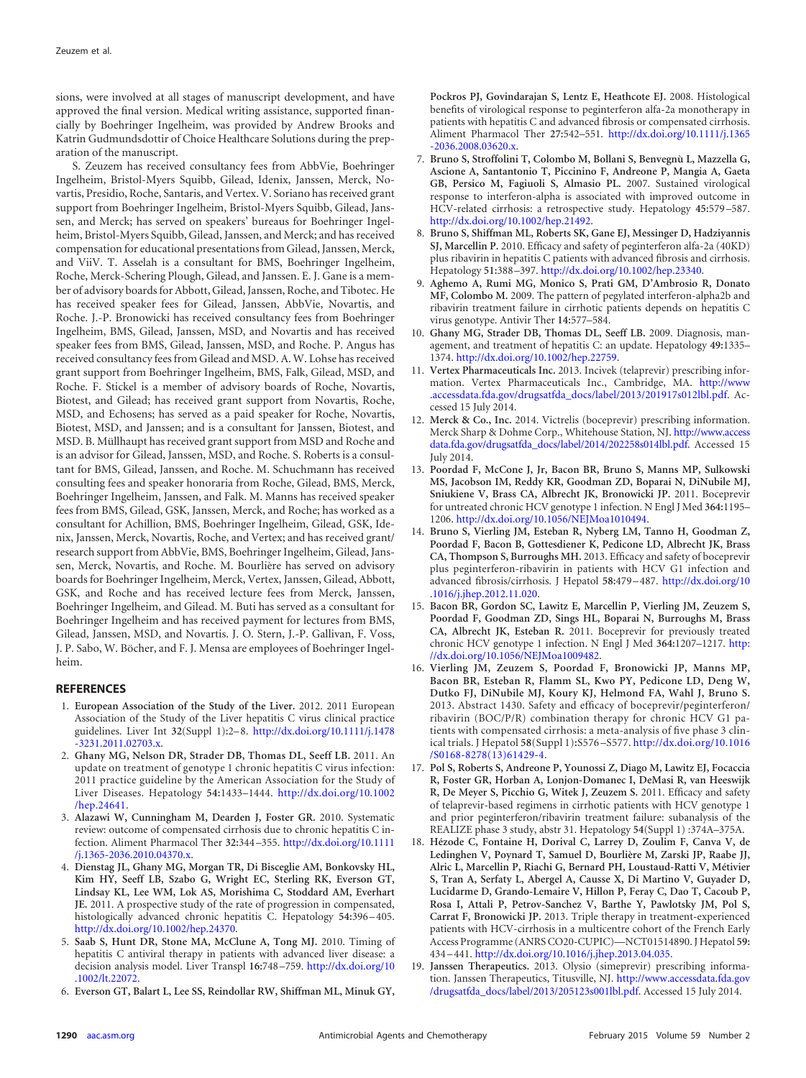sions, were involved at all stages of manuscript development, and have approved the final version. Medical writing assistance, supported financially by Boehringer Ingelheim, was provided by Andrew Brooks and Katrin Gudmundsdottir of Choice Healthcare Solutions during the preparation of the manuscript.

S. Zeuzem has received consultancy fees from AbbVie, Boehringer Ingelheim, Bristol-Myers Squibb, Gilead, Idenix, Janssen, Merck, Novartis, Presidio, Roche, Santaris, and Vertex. V. Soriano has received grant support from Boehringer Ingelheim, Bristol-Myers Squibb, Gilead, Janssen, and Merck; has served on speakers' bureaus for Boehringer Ingelheim, Bristol-Myers Squibb, Gilead, Janssen, and Merck; and has received compensation for educational presentations from Gilead, Janssen, Merck, and ViiV. T. Asselah is a consultant for BMS, Boehringer Ingelheim, Roche, Merck-Schering Plough, Gilead, and Janssen. E. J. Gane is a member of advisory boards for Abbott, Gilead, Janssen, Roche, and Tibotec. He has received speaker fees for Gilead, Janssen, AbbVie, Novartis, and Roche. J.-P. Bronowicki has received consultancy fees from Boehringer Ingelheim, BMS, Gilead, Janssen, MSD, and Novartis and has received speaker fees from BMS, Gilead, Janssen, MSD, and Roche. P. Angus has received consultancy fees from Gilead and MSD. A. W. Lohse has received grant support from Boehringer Ingelheim, BMS, Falk, Gilead, MSD, and Roche. F. Stickel is a member of advisory boards of Roche, Novartis, Biotest, and Gilead; has received grant support from Novartis, Roche, MSD, and Echosens; has served as a paid speaker for Roche, Novartis, Biotest, MSD, and Janssen; and is a consultant for Janssen, Biotest, and MSD. B. Müllhaupt has received grant support from MSD and Roche and is an advisor for Gilead, Janssen, MSD, and Roche. S. Roberts is a consultant for BMS, Gilead, Janssen, and Roche. M. Schuchmann has received consulting fees and speaker honoraria from Roche, Gilead, BMS, Merck, Boehringer Ingelheim, Janssen, and Falk. M. Manns has received speaker fees from BMS, Gilead, GSK, Janssen, Merck, and Roche; has worked as a consultant for Achillion, BMS, Boehringer Ingelheim, Gilead, GSK, Idenix, Janssen, Merck, Novartis, Roche, and Vertex; and has received grant/ research support from AbbVie, BMS, Boehringer Ingelheim, Gilead, Janssen, Merck, Novartis, and Roche. M. Bourlière has served on advisory boards for Boehringer Ingelheim, Merck, Vertex, Janssen, Gilead, Abbott, GSK, and Roche and has received lecture fees from Merck, Janssen, Boehringer Ingelheim, and Gilead. M. Buti has served as a consultant for Boehringer Ingelheim and has received payment for lectures from BMS, Gilead, Janssen, MSD, and Novartis. J. O. Stern, J.-P. Gallivan, F. Voss, J. P. Sabo, W. Böcher, and F. J. Mensa are employees of Boehringer Ingelheim.

#### <span id="page-8-0"></span>**REFERENCES**

- 1. **European Association of the Study of the Liver.** 2012. 2011 European Association of the Study of the Liver hepatitis C virus clinical practice guidelines. Liver Int **32**(Suppl 1)**:**2– 8. [http://dx.doi.org/10.1111/j.1478](http://dx.doi.org/10.1111/j.1478-3231.2011.02703.x) [-3231.2011.02703.x.](http://dx.doi.org/10.1111/j.1478-3231.2011.02703.x)
- 2. **Ghany MG, Nelson DR, Strader DB, Thomas DL, Seeff LB.** 2011. An update on treatment of genotype 1 chronic hepatitis C virus infection: 2011 practice guideline by the American Association for the Study of Liver Diseases. Hepatology **54:**1433–1444. [http://dx.doi.org/10.1002](http://dx.doi.org/10.1002/hep.24641) [/hep.24641.](http://dx.doi.org/10.1002/hep.24641)
- <span id="page-8-1"></span>3. **Alazawi W, Cunningham M, Dearden J, Foster GR.** 2010. Systematic review: outcome of compensated cirrhosis due to chronic hepatitis C infection. Aliment Pharmacol Ther **32:**344 –355. [http://dx.doi.org/10.1111](http://dx.doi.org/10.1111/j.1365-2036.2010.04370.x) [/j.1365-2036.2010.04370.x.](http://dx.doi.org/10.1111/j.1365-2036.2010.04370.x)
- <span id="page-8-2"></span>4. **Dienstag JL, Ghany MG, Morgan TR, Di Bisceglie AM, Bonkovsky HL, Kim HY, Seeff LB, Szabo G, Wright EC, Sterling RK, Everson GT, Lindsay KL, Lee WM, Lok AS, Morishima C, Stoddard AM, Everhart JE.** 2011. A prospective study of the rate of progression in compensated, histologically advanced chronic hepatitis C. Hepatology **54:**396 – 405. [http://dx.doi.org/10.1002/hep.24370.](http://dx.doi.org/10.1002/hep.24370)
- <span id="page-8-3"></span>5. **Saab S, Hunt DR, Stone MA, McClune A, Tong MJ.** 2010. Timing of hepatitis C antiviral therapy in patients with advanced liver disease: a decision analysis model. Liver Transpl **16:**748 –759. [http://dx.doi.org/10](http://dx.doi.org/10.1002/lt.22072) [.1002/lt.22072.](http://dx.doi.org/10.1002/lt.22072)
- <span id="page-8-4"></span>6. **Everson GT, Balart L, Lee SS, Reindollar RW, Shiffman ML, Minuk GY,**

**Pockros PJ, Govindarajan S, Lentz E, Heathcote EJ.** 2008. Histological benefits of virological response to peginterferon alfa-2a monotherapy in patients with hepatitis C and advanced fibrosis or compensated cirrhosis. Aliment Pharmacol Ther **27:**542–551. [http://dx.doi.org/10.1111/j.1365](http://dx.doi.org/10.1111/j.1365-2036.2008.03620.x) [-2036.2008.03620.x.](http://dx.doi.org/10.1111/j.1365-2036.2008.03620.x)

- <span id="page-8-5"></span>7. **Bruno S, Stroffolini T, Colombo M, Bollani S, Benvegnù L, Mazzella G, Ascione A, Santantonio T, Piccinino F, Andreone P, Mangia A, Gaeta GB, Persico M, Fagiuoli S, Almasio PL.** 2007. Sustained virological response to interferon-alpha is associated with improved outcome in HCV-related cirrhosis: a retrospective study. Hepatology **45:**579 –587. [http://dx.doi.org/10.1002/hep.21492.](http://dx.doi.org/10.1002/hep.21492)
- <span id="page-8-6"></span>8. **Bruno S, Shiffman ML, Roberts SK, Gane EJ, Messinger D, Hadziyannis SJ, Marcellin P.** 2010. Efficacy and safety of peginterferon alfa-2a (40KD) plus ribavirin in hepatitis C patients with advanced fibrosis and cirrhosis. Hepatology **51:**388 –397. [http://dx.doi.org/10.1002/hep.23340.](http://dx.doi.org/10.1002/hep.23340)
- <span id="page-8-7"></span>9. **Aghemo A, Rumi MG, Monico S, Prati GM, D'Ambrosio R, Donato MF, Colombo M.** 2009. The pattern of pegylated interferon-alpha2b and ribavirin treatment failure in cirrhotic patients depends on hepatitis C virus genotype. Antivir Ther **14:**577–584.
- <span id="page-8-8"></span>10. **Ghany MG, Strader DB, Thomas DL, Seeff LB.** 2009. Diagnosis, management, and treatment of hepatitis C: an update. Hepatology **49:**1335– 1374. [http://dx.doi.org/10.1002/hep.22759.](http://dx.doi.org/10.1002/hep.22759)
- <span id="page-8-9"></span>11. **Vertex Pharmaceuticals Inc.** 2013. Incivek (telaprevir) prescribing information. Vertex Pharmaceuticals Inc., Cambridge, MA. [http://www](http://www.accessdata.fda.gov/drugsatfda_docs/label/2013/201917s012lbl.pdf) [.accessdata.fda.gov/drugsatfda\\_docs/label/2013/201917s012lbl.pdf.](http://www.accessdata.fda.gov/drugsatfda_docs/label/2013/201917s012lbl.pdf) Accessed 15 July 2014.
- 12. **Merck & Co., Inc.** 2014. Victrelis (boceprevir) prescribing information. Merck Sharp & Dohme Corp., Whitehouse Station, NJ. [http://www.access](http://www.accessdata.fda.gov/drugsatfda_docs/label/2014/202258s014lbl.pdf) [data.fda.gov/drugsatfda\\_docs/label/2014/202258s014lbl.pdf.](http://www.accessdata.fda.gov/drugsatfda_docs/label/2014/202258s014lbl.pdf) Accessed 15 July 2014.
- 13. **Poordad F, McCone J, Jr, Bacon BR, Bruno S, Manns MP, Sulkowski MS, Jacobson IM, Reddy KR, Goodman ZD, Boparai N, DiNubile MJ, Sniukiene V, Brass CA, Albrecht JK, Bronowicki JP.** 2011. Boceprevir for untreated chronic HCV genotype 1 infection. N Engl J Med **364:**1195– 1206. [http://dx.doi.org/10.1056/NEJMoa1010494.](http://dx.doi.org/10.1056/NEJMoa1010494)
- <span id="page-8-12"></span>14. **Bruno S, Vierling JM, Esteban R, Nyberg LM, Tanno H, Goodman Z, Poordad F, Bacon B, Gottesdiener K, Pedicone LD, Albrecht JK, Brass CA, Thompson S, Burroughs MH.** 2013. Efficacy and safety of boceprevir plus peginterferon-ribavirin in patients with HCV G1 infection and advanced fibrosis/cirrhosis. J Hepatol **58:**479 – 487. [http://dx.doi.org/10](http://dx.doi.org/10.1016/j.jhep.2012.11.020) [.1016/j.jhep.2012.11.020.](http://dx.doi.org/10.1016/j.jhep.2012.11.020)
- 15. **Bacon BR, Gordon SC, Lawitz E, Marcellin P, Vierling JM, Zeuzem S, Poordad F, Goodman ZD, Sings HL, Boparai N, Burroughs M, Brass CA, Albrecht JK, Esteban R.** 2011. Boceprevir for previously treated chronic HCV genotype 1 infection. N Engl J Med **364:**1207–1217. [http:](http://dx.doi.org/10.1056/NEJMoa1009482) [//dx.doi.org/10.1056/NEJMoa1009482.](http://dx.doi.org/10.1056/NEJMoa1009482)
- 16. **Vierling JM, Zeuzem S, Poordad F, Bronowicki JP, Manns MP, Bacon BR, Esteban R, Flamm SL, Kwo PY, Pedicone LD, Deng W, Dutko FJ, DiNubile MJ, Koury KJ, Helmond FA, Wahl J, Bruno S.** 2013. Abstract 1430. Safety and efficacy of boceprevir/peginterferon/ ribavirin (BOC/P/R) combination therapy for chronic HCV G1 patients with compensated cirrhosis: a meta-analysis of five phase 3 clinical trials. J Hepatol **58**(Suppl 1)**:**S576 –S577. [http://dx.doi.org/10.1016](http://dx.doi.org/10.1016/S0168-8278(13)61429-4) [/S0168-8278\(13\)61429-4.](http://dx.doi.org/10.1016/S0168-8278(13)61429-4)
- <span id="page-8-10"></span>17. **Pol S, Roberts S, Andreone P, Younossi Z, Diago M, Lawitz EJ, Focaccia R, Foster GR, Horban A, Lonjon-Domanec I, DeMasi R, van Heeswijk R, De Meyer S, Picchio G, Witek J, Zeuzem S.** 2011. Efficacy and safety of telaprevir-based regimens in cirrhotic patients with HCV genotype 1 and prior peginterferon/ribavirin treatment failure: subanalysis of the REALIZE phase 3 study, abstr 31. Hepatology **54**(Suppl 1) :374A–375A.
- <span id="page-8-11"></span>18. **Hézode C, Fontaine H, Dorival C, Larrey D, Zoulim F, Canva V, de Ledinghen V, Poynard T, Samuel D, Bourlière M, Zarski JP, Raabe JJ, Alric L, Marcellin P, Riachi G, Bernard PH, Loustaud-Ratti V, Métivier S, Tran A, Serfaty L, Abergel A, Causse X, Di Martino V, Guyader D, Lucidarme D, Grando-Lemaire V, Hillon P, Feray C, Dao T, Cacoub P, Rosa I, Attali P, Petrov-Sanchez V, Barthe Y, Pawlotsky JM, Pol S, Carrat F, Bronowicki JP.** 2013. Triple therapy in treatment-experienced patients with HCV-cirrhosis in a multicentre cohort of the French Early Access Programme (ANRS CO20-CUPIC)—NCT01514890. J Hepatol **59:** 434 – 441. [http://dx.doi.org/10.1016/j.jhep.2013.04.035.](http://dx.doi.org/10.1016/j.jhep.2013.04.035)
- <span id="page-8-13"></span>19. **Janssen Therapeutics.** 2013. Olysio (simeprevir) prescribing information. Janssen Therapeutics, Titusville, NJ. [http://www.accessdata.fda.gov](http://www.accessdata.fda.gov/drugsatfda_docs/label/2013/205123s001lbl.pdf) [/drugsatfda\\_docs/label/2013/205123s001lbl.pdf.](http://www.accessdata.fda.gov/drugsatfda_docs/label/2013/205123s001lbl.pdf) Accessed 15 July 2014.